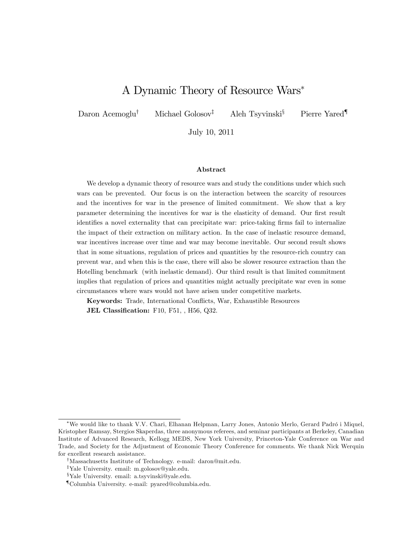# A Dynamic Theory of Resource Wars

Daron Acemoglu<sup>†</sup> Michael Golosov<sup>‡</sup> Aleh Tsyvinski<sup>§</sup> Pierre Yared<sup>¶</sup>

July 10, 2011

#### Abstract

We develop a dynamic theory of resource wars and study the conditions under which such wars can be prevented. Our focus is on the interaction between the scarcity of resources and the incentives for war in the presence of limited commitment. We show that a key parameter determining the incentives for war is the elasticity of demand. Our first result identifies a novel externality that can precipitate war: price-taking firms fail to internalize the impact of their extraction on military action. In the case of inelastic resource demand, war incentives increase over time and war may become inevitable. Our second result shows that in some situations, regulation of prices and quantities by the resource-rich country can prevent war, and when this is the case, there will also be slower resource extraction than the Hotelling benchmark (with inelastic demand). Our third result is that limited commitment implies that regulation of prices and quantities might actually precipitate war even in some circumstances where wars would not have arisen under competitive markets.

Keywords: Trade, International Conflicts, War, Exhaustible Resources JEL Classification: F10, F51, , H56, Q32.

We would like to thank V.V. Chari, Elhanan Helpman, Larry Jones, Antonio Merlo, Gerard Padró i Miquel, Kristopher Ramsay, Stergios Skaperdas, three anonymous referees, and seminar participants at Berkeley, Canadian Institute of Advanced Research, Kellogg MEDS, New York University, Princeton-Yale Conference on War and Trade, and Society for the Adjustment of Economic Theory Conference for comments. We thank Nick Werquin for excellent research assistance.

<sup>&</sup>lt;sup>†</sup>Massachusetts Institute of Technology. e-mail: daron@mit.edu.

<sup>&</sup>lt;sup>‡</sup>Yale University. email: m.golosov@yale.edu.

<sup>&</sup>lt;sup>§</sup>Yale University. email: a.tsyvinski@yale.edu.

<sup>{</sup>Columbia University. e-mail: pyared@columbia.edu.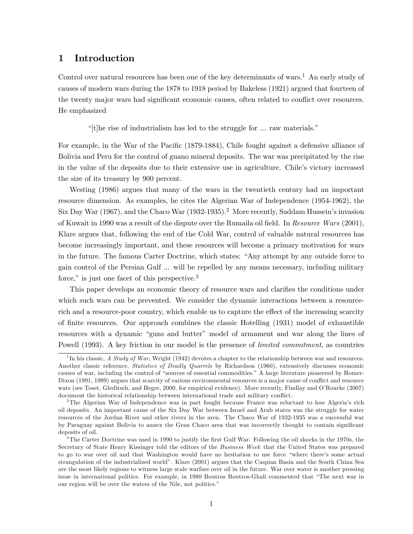# 1 Introduction

Control over natural resources has been one of the key determinants of wars.<sup>1</sup> An early study of causes of modern wars during the 1878 to 1918 period by Bakeless (1921) argued that fourteen of the twenty major wars had significant economic causes, often related to conflict over resources. He emphasized

"[t]he rise of industrialism has led to the struggle for  $\ldots$  raw materials."

For example, in the War of the Pacific (1879-1884), Chile fought against a defensive alliance of Bolivia and Peru for the control of guano mineral deposits. The war was precipitated by the rise in the value of the deposits due to their extensive use in agriculture. Chileís victory increased the size of its treasury by 900 percent.

Westing (1986) argues that many of the wars in the twentieth century had an important resource dimension. As examples, he cites the Algerian War of Independence (1954-1962), the Six Day War (1967), and the Chaco War (1932-1935).<sup>2</sup> More recently, Saddam Hussein's invasion of Kuwait in 1990 was a result of the dispute over the Rumaila oil field. In Resource Wars (2001), Klare argues that, following the end of the Cold War, control of valuable natural resources has become increasingly important, and these resources will become a primary motivation for wars in the future. The famous Carter Doctrine, which states: "Any attempt by any outside force to gain control of the Persian Gulf ... will be repelled by any means necessary, including military force," is just one facet of this perspective.<sup>3</sup>

This paper develops an economic theory of resource wars and clarifies the conditions under which such wars can be prevented. We consider the dynamic interactions between a resourcerich and a resource-poor country, which enable us to capture the effect of the increasing scarcity of Önite resources. Our approach combines the classic Hotelling (1931) model of exhaustible resources with a dynamic "guns and butter" model of armament and war along the lines of Powell (1993). A key friction in our model is the presence of *limited commitment*, as countries

<sup>&</sup>lt;sup>1</sup>In his classic, A Study of War, Wright (1942) devotes a chapter to the relationship between war and resources. Another classic reference, Statistics of Deadly Quarrels by Richardson (1960), extensively discusses economic causes of war, including the control of "sources of essential commodities." A large literature pioneered by Homer-Dixon (1991, 1999) argues that scarcity of various environmental resources is a major cause of conflict and resource wars (see Toset, Gleditsch, and Hegre, 2000, for empirical evidence). More recently, Findlay and O'Rourke (2007) document the historical relationship between international trade and military conflict.

<sup>&</sup>lt;sup>2</sup>The Algerian War of Independence was in part fought because France was reluctant to lose Algeria's rich oil deposits. An important cause of the Six Day War between Israel and Arab states was the struggle for water resources of the Jordan River and other rivers in the area. The Chaco War of 1932-1935 was a successful war by Paraguay against Bolivia to annex the Gran Chaco area that was incorrectly thought to contain significant deposits of oil.

 $3$ The Carter Doctrine was used in 1990 to justify the first Gulf War. Following the oil shocks in the 1970s, the Secretary of State Henry Kissinger told the editors of the Business Week that the United States was prepared to go to war over oil and that Washington would have no hesitation to use force "where there's some actual strangulation of the industrialized worldî. Klare (2001) argues that the Caspian Basin and the South China Sea are the most likely regions to witness large scale warfare over oil in the future. War over water is another pressing issue in international politics. For example, in 1980 Boutros Boutros-Ghali commented that "The next war in our region will be over the waters of the Nile, not politics."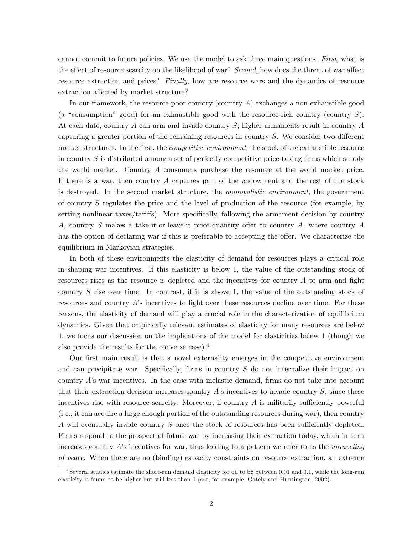cannot commit to future policies. We use the model to ask three main questions. First, what is the effect of resource scarcity on the likelihood of war? Second, how does the threat of war affect resource extraction and prices? Finally, how are resource wars and the dynamics of resource extraction affected by market structure?

In our framework, the resource-poor country (country  $A$ ) exchanges a non-exhaustible good (a "consumption" good) for an exhaustible good with the resource-rich country (country  $S$ ). At each date, country  $A$  can arm and invade country  $S$ ; higher armaments result in country  $A$ capturing a greater portion of the remaining resources in country  $S$ . We consider two different market structures. In the first, the *competitive environment*, the stock of the exhaustible resource in country  $S$  is distributed among a set of perfectly competitive price-taking firms which supply the world market. Country A consumers purchase the resource at the world market price. If there is a war, then country  $A$  captures part of the endowment and the rest of the stock is destroyed. In the second market structure, the monopolistic environment, the government of country S regulates the price and the level of production of the resource (for example, by setting nonlinear taxes/tariffs). More specifically, following the armament decision by country A, country S makes a take-it-or-leave-it price-quantity offer to country A, where country A has the option of declaring war if this is preferable to accepting the offer. We characterize the equilibrium in Markovian strategies.

In both of these environments the elasticity of demand for resources plays a critical role in shaping war incentives. If this elasticity is below 1, the value of the outstanding stock of resources rises as the resource is depleted and the incentives for country  $A$  to arm and fight country S rise over time. In contrast, if it is above 1, the value of the outstanding stock of resources and country A's incentives to fight over these resources decline over time. For these reasons, the elasticity of demand will play a crucial role in the characterization of equilibrium dynamics. Given that empirically relevant estimates of elasticity for many resources are below 1, we focus our discussion on the implications of the model for elasticities below 1 (though we also provide the results for the converse case).<sup>4</sup>

Our first main result is that a novel externality emerges in the competitive environment and can precipitate war. Specifically, firms in country  $S$  do not internalize their impact on country  $A$ 's war incentives. In the case with inelastic demand, firms do not take into account that their extraction decision increases country  $A$ 's incentives to invade country  $S$ , since these incentives rise with resource scarcity. Moreover, if country  $A$  is militarily sufficiently powerful (i.e., it can acquire a large enough portion of the outstanding resources during war), then country A will eventually invade country S once the stock of resources has been sufficiently depleted. Firms respond to the prospect of future war by increasing their extraction today, which in turn increases country  $A$ 's incentives for war, thus leading to a pattern we refer to as the *unraveling* of peace. When there are no (binding) capacity constraints on resource extraction, an extreme

<sup>4</sup> Several studies estimate the short-run demand elasticity for oil to be between 0.01 and 0.1, while the long-run elasticity is found to be higher but still less than 1 (see, for example, Gately and Huntington, 2002).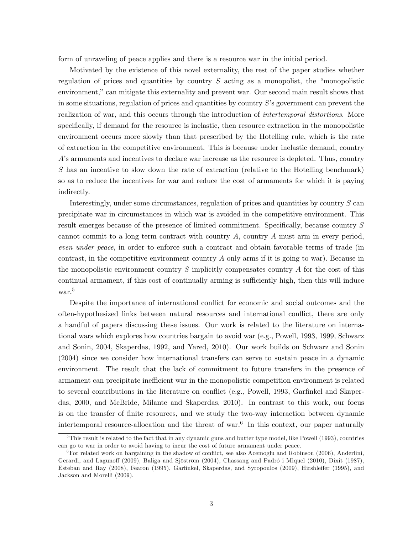form of unraveling of peace applies and there is a resource war in the initial period.

Motivated by the existence of this novel externality, the rest of the paper studies whether regulation of prices and quantities by country  $S$  acting as a monopolist, the "monopolistic environment," can mitigate this externality and prevent war. Our second main result shows that in some situations, regulation of prices and quantities by country  $S$ 's government can prevent the realization of war, and this occurs through the introduction of *intertemporal distortions*. More specifically, if demand for the resource is inelastic, then resource extraction in the monopolistic environment occurs more slowly than that prescribed by the Hotelling rule, which is the rate of extraction in the competitive environment. This is because under inelastic demand, country A's armaments and incentives to declare war increase as the resource is depleted. Thus, country S has an incentive to slow down the rate of extraction (relative to the Hotelling benchmark) so as to reduce the incentives for war and reduce the cost of armaments for which it is paying indirectly.

Interestingly, under some circumstances, regulation of prices and quantities by country S can precipitate war in circumstances in which war is avoided in the competitive environment. This result emerges because of the presence of limited commitment. Specifically, because country  $S$ cannot commit to a long term contract with country A, country A must arm in every period, even under peace, in order to enforce such a contract and obtain favorable terms of trade (in contrast, in the competitive environment country A only arms if it is going to war). Because in the monopolistic environment country S implicitly compensates country A for the cost of this continual armament, if this cost of continually arming is sufficiently high, then this will induce war.<sup>5</sup>

Despite the importance of international conflict for economic and social outcomes and the often-hypothesized links between natural resources and international conáict, there are only a handful of papers discussing these issues. Our work is related to the literature on international wars which explores how countries bargain to avoid war (e.g., Powell, 1993, 1999, Schwarz and Sonin, 2004, Skaperdas, 1992, and Yared, 2010). Our work builds on Schwarz and Sonin (2004) since we consider how international transfers can serve to sustain peace in a dynamic environment. The result that the lack of commitment to future transfers in the presence of armament can precipitate inefficient war in the monopolistic competition environment is related to several contributions in the literature on conflict (e.g., Powell, 1993, Garfinkel and Skaperdas, 2000, and McBride, Milante and Skaperdas, 2010). In contrast to this work, our focus is on the transfer of Önite resources, and we study the two-way interaction between dynamic intertemporal resource-allocation and the threat of war.<sup>6</sup> In this context, our paper naturally

 $5$ This result is related to the fact that in any dynamic guns and butter type model, like Powell (1993), countries can go to war in order to avoid having to incur the cost of future armament under peace.

 $6F$ or related work on bargaining in the shadow of conflict, see also Acemoglu and Robinson (2006), Anderlini, Gerardi, and Lagunoff (2009), Baliga and Sjöström (2004), Chassang and Padró i Miquel (2010), Dixit (1987), Esteban and Ray (2008), Fearon (1995), Garfinkel, Skaperdas, and Syropoulos (2009), Hirshleifer (1995), and Jackson and Morelli (2009).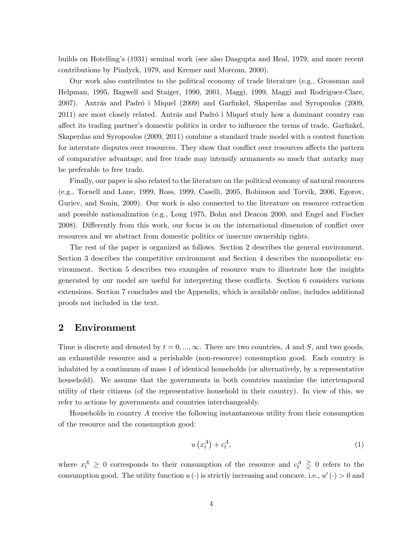builds on Hotellingís (1931) seminal work (see also Dasgupta and Heal, 1979, and more recent contributions by Pindyck, 1979, and Kremer and Morcom, 2000).

Our work also contributes to the political economy of trade literature (e.g., Grossman and Helpman, 1995, Bagwell and Staiger, 1990, 2001, Maggi, 1999, Maggi and Rodriguez-Clare, 2007). Antrás and Padró i Miquel (2009) and Garfinkel, Skaperdas and Syropoulos (2009, 2011) are most closely related. Antrás and Padró i Miquel study how a dominant country can affect its trading partner's domestic politics in order to influence the terms of trade. Garfinkel, Skaperdas and Syropoulos (2009, 2011) combine a standard trade model with a contest function for interstate disputes over resources. They show that conflict over resources affects the pattern of comparative advantage, and free trade may intensify armaments so much that autarky may be preferable to free trade.

Finally, our paper is also related to the literature on the political economy of natural resources (e.g., Tornell and Lane, 1999, Ross, 1999, Caselli, 2005, Robinson and Torvik, 2006, Egorov, Guriev, and Sonin, 2009). Our work is also connected to the literature on resource extraction and possible nationalization (e.g., Long 1975, Bohn and Deacon 2000, and Engel and Fischer 2008). Differently from this work, our focus is on the international dimension of conflict over resources and we abstract from domestic politics or insecure ownership rights.

The rest of the paper is organized as follows. Section 2 describes the general environment. Section 3 describes the competitive environment and Section 4 describes the monopolistic environment. Section 5 describes two examples of resource wars to illustrate how the insights generated by our model are useful for interpreting these conflicts. Section 6 considers various extensions. Section 7 concludes and the Appendix, which is available online, includes additional proofs not included in the text.

# 2 Environment

Time is discrete and denoted by  $t = 0, ..., \infty$ . There are two countries, A and S, and two goods, an exhaustible resource and a perishable (non-resource) consumption good. Each country is inhabited by a continuum of mass 1 of identical households (or alternatively, by a representative household). We assume that the governments in both countries maximize the intertemporal utility of their citizens (of the representative household in their country). In view of this, we refer to actions by governments and countries interchangeably.

Households in country A receive the following instantaneous utility from their consumption of the resource and the consumption good:

$$
u\left(x_t^A\right) + c_t^A,\tag{1}
$$

where  $x_t^A \geq 0$  corresponds to their consumption of the resource and  $c_t^A \geq 0$  refers to the consumption good. The utility function  $u(\cdot)$  is strictly increasing and concave, i.e.,  $u'(\cdot) > 0$  and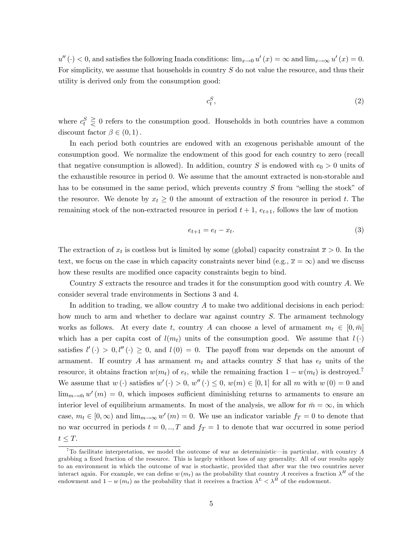$u''(t) < 0$ , and satisfies the following Inada conditions:  $\lim_{x\to 0} u'(x) = \infty$  and  $\lim_{x\to\infty} u'(x) = 0$ . For simplicity, we assume that households in country S do not value the resource, and thus their utility is derived only from the consumption good:

$$
c_t^S,\tag{2}
$$

where  $c_t^S \geq 0$  refers to the consumption good. Households in both countries have a common discount factor  $\beta \in (0,1)$ .

In each period both countries are endowed with an exogenous perishable amount of the consumption good. We normalize the endowment of this good for each country to zero (recall that negative consumption is allowed). In addition, country S is endowed with  $e_0 > 0$  units of the exhaustible resource in period 0. We assume that the amount extracted is non-storable and has to be consumed in the same period, which prevents country  $S$  from "selling the stock" of the resource. We denote by  $x_t \geq 0$  the amount of extraction of the resource in period t. The remaining stock of the non-extracted resource in period  $t + 1$ ,  $e_{t+1}$ , follows the law of motion

$$
e_{t+1} = e_t - x_t. \tag{3}
$$

The extraction of  $x_t$  is costless but is limited by some (global) capacity constraint  $\bar{x} > 0$ . In the text, we focus on the case in which capacity constraints never bind (e.g.,  $\bar{x} = \infty$ ) and we discuss how these results are modified once capacity constraints begin to bind.

Country S extracts the resource and trades it for the consumption good with country A: We consider several trade environments in Sections 3 and 4.

In addition to trading, we allow country A to make two additional decisions in each period: how much to arm and whether to declare war against country S. The armament technology works as follows. At every date t, country A can choose a level of armament  $m_t \in [0, \bar{m}]$ which has a per capita cost of  $l(m_t)$  units of the consumption good. We assume that  $l(\cdot)$ satisfies  $l'(\cdot) > 0, l''(\cdot) \geq 0$ , and  $l(0) = 0$ . The payoff from war depends on the amount of armament. If country A has armament  $m_t$  and attacks country S that has  $e_t$  units of the resource, it obtains fraction  $w(m_t)$  of  $e_t$ , while the remaining fraction  $1 - w(m_t)$  is destroyed.<sup>7</sup> We assume that  $w(\cdot)$  satisfies  $w'(\cdot) > 0$ ,  $w''(\cdot) \leq 0$ ,  $w(m) \in [0,1]$  for all m with  $w(0) = 0$  and  $\lim_{m\to \bar m} w'(m) = 0$ , which imposes sufficient diminishing returns to armaments to ensure an interior level of equilibrium armaments. In most of the analysis, we allow for  $\bar{m} = \infty$ , in which case,  $m_t \in [0, \infty)$  and  $\lim_{m\to\infty} w'(m) = 0$ . We use an indicator variable  $f_T = 0$  to denote that no war occurred in periods  $t = 0, \ldots, T$  and  $f_T = 1$  to denote that war occurred in some period  $t \leq T.$ 

<sup>&</sup>lt;sup>7</sup>To facilitate interpretation, we model the outcome of war as deterministic—in particular, with country  $A$ grabbing a fixed fraction of the resource. This is largely without loss of any generality. All of our results apply to an environment in which the outcome of war is stochastic, provided that after war the two countries never interact again. For example, we can define  $w(m_t)$  as the probability that country A receives a fraction  $\lambda^H$  of the endowment and  $1 - w(m_t)$  as the probability that it receives a fraction  $\lambda^L < \lambda^H$  of the endowment.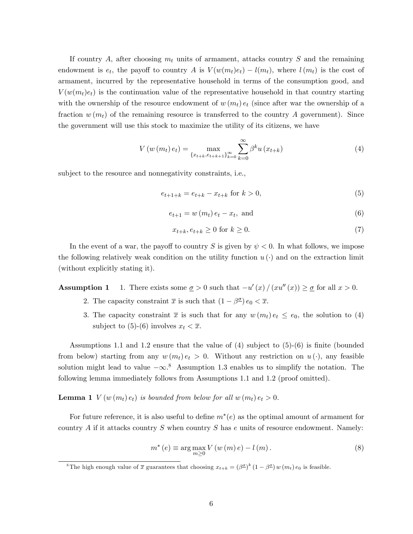If country A, after choosing  $m_t$  units of armament, attacks country S and the remaining endowment is  $e_t$ , the payoff to country A is  $V(w(m_t)e_t) - l(m_t)$ , where  $l(m_t)$  is the cost of armament, incurred by the representative household in terms of the consumption good, and  $V(w(m_t)e_t)$  is the continuation value of the representative household in that country starting with the ownership of the resource endowment of  $w(m_t) e_t$  (since after war the ownership of a fraction  $w(m_t)$  of the remaining resource is transferred to the country A government). Since the government will use this stock to maximize the utility of its citizens, we have

$$
V(w(m_t) e_t) = \max_{\{x_{t+k}, e_{t+k+1}\}_{k=0}^{\infty}} \sum_{k=0}^{\infty} \beta^k u(x_{t+k})
$$
\n(4)

subject to the resource and nonnegativity constraints, i.e.,

$$
e_{t+1+k} = e_{t+k} - x_{t+k} \text{ for } k > 0,
$$
\n(5)

$$
e_{t+1} = w(m_t) e_t - x_t, \text{ and } \tag{6}
$$

$$
x_{t+k}, e_{t+k} \ge 0 \text{ for } k \ge 0. \tag{7}
$$

In the event of a war, the payoff to country S is given by  $\psi < 0$ . In what follows, we impose the following relatively weak condition on the utility function  $u(\cdot)$  and on the extraction limit (without explicitly stating it).

**Assumption 1** 1. There exists some  $\underline{\sigma} > 0$  such that  $-u'(x)/(xu''(x)) \ge \underline{\sigma}$  for all  $x > 0$ .

- 2. The capacity constraint  $\bar{x}$  is such that  $(1 \beta^{\underline{\sigma}}) e_0 < \bar{x}$ .
- 3. The capacity constraint  $\bar{x}$  is such that for any  $w(m_t) e_t \le e_0$ , the solution to (4) subject to (5)-(6) involves  $x_t < \overline{x}$ .

Assumptions 1.1 and 1.2 ensure that the value of  $(4)$  subject to  $(5)-(6)$  is finite (bounded from below) starting from any  $w(m_t) e_t > 0$ . Without any restriction on  $u(\cdot)$ , any feasible solution might lead to value  $-\infty$ .<sup>8</sup> Assumption 1.3 enables us to simplify the notation. The following lemma immediately follows from Assumptions 1.1 and 1.2 (proof omitted).

**Lemma 1**  $V(w(m_t) e_t)$  is bounded from below for all  $w(m_t) e_t > 0$ .

For future reference, it is also useful to define  $m^*(e)$  as the optimal amount of armament for country A if it attacks country S when country S has  $e$  units of resource endowment. Namely:

$$
m^{*}\left(e\right) \equiv \arg\max_{m\geq 0} V\left(w\left(m\right)e\right) - l\left(m\right). \tag{8}
$$

<sup>&</sup>lt;sup>8</sup>The high enough value of  $\bar{x}$  guarantees that choosing  $x_{t+k} = (\beta^{\underline{\sigma}})^k (1 - \beta^{\underline{\sigma}}) w(m_t) e_0$  is feasible.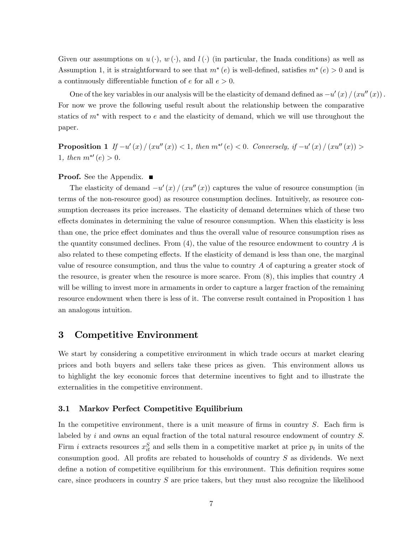Given our assumptions on  $u(\cdot)$ ,  $w(\cdot)$ , and  $l(\cdot)$  (in particular, the Inada conditions) as well as Assumption 1, it is straightforward to see that  $m^*(e)$  is well-defined, satisfies  $m^*(e) > 0$  and is a continuously differentiable function of  $e$  for all  $e > 0$ .

One of the key variables in our analysis will be the elasticity of demand defined as  $-u'(x)/(xu''(x))$ . For now we prove the following useful result about the relationship between the comparative statics of  $m^*$  with respect to  $e$  and the elasticity of demand, which we will use throughout the paper.

**Proposition 1** If  $-u'(x)/(xu''(x)) < 1$ , then  $m^{*'}(e) < 0$ . Conversely, if  $-u'(x)/(xu''(x)) >$ 1, then  $m^{*'}(e) > 0$ .

#### **Proof.** See the Appendix. ■

The elasticity of demand  $-u'(x)/(xu''(x))$  captures the value of resource consumption (in terms of the non-resource good) as resource consumption declines. Intuitively, as resource consumption decreases its price increases. The elasticity of demand determines which of these two effects dominates in determining the value of resource consumption. When this elasticity is less than one, the price effect dominates and thus the overall value of resource consumption rises as the quantity consumed declines. From  $(4)$ , the value of the resource endowment to country A is also related to these competing effects. If the elasticity of demand is less than one, the marginal value of resource consumption, and thus the value to country A of capturing a greater stock of the resource, is greater when the resource is more scarce. From  $(8)$ , this implies that country A will be willing to invest more in armaments in order to capture a larger fraction of the remaining resource endowment when there is less of it. The converse result contained in Proposition 1 has an analogous intuition.

# 3 Competitive Environment

We start by considering a competitive environment in which trade occurs at market clearing prices and both buyers and sellers take these prices as given. This environment allows us to highlight the key economic forces that determine incentives to fight and to illustrate the externalities in the competitive environment.

#### 3.1 Markov Perfect Competitive Equilibrium

In the competitive environment, there is a unit measure of firms in country  $S$ . Each firm is labeled by  $i$  and owns an equal fraction of the total natural resource endowment of country  $S$ . Firm *i* extracts resources  $x_{it}^S$  and sells them in a competitive market at price  $p_t$  in units of the consumption good. All profits are rebated to households of country  $S$  as dividends. We next define a notion of competitive equilibrium for this environment. This definition requires some care, since producers in country  $S$  are price takers, but they must also recognize the likelihood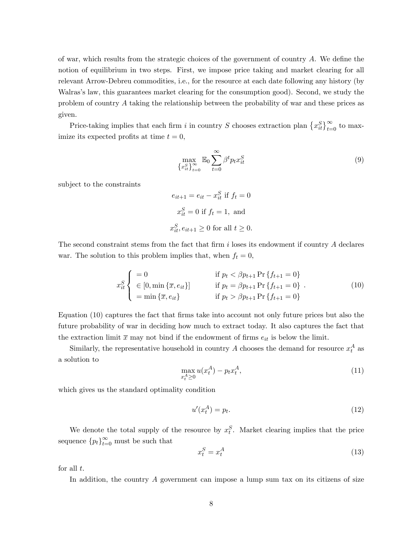of war, which results from the strategic choices of the government of country  $A$ . We define the notion of equilibrium in two steps. First, we impose price taking and market clearing for all relevant Arrow-Debreu commodities, i.e., for the resource at each date following any history (by Walras's law, this guarantees market clearing for the consumption good). Second, we study the problem of country A taking the relationship between the probability of war and these prices as given.

Price-taking implies that each firm i in country S chooses extraction plan  $\{x_{it}^S\}_{t=0}^\infty$  to maximize its expected profits at time  $t = 0$ ,

$$
\max_{\{x_{it}^S\}_{t=0}^\infty} \mathbb{E}_0 \sum_{t=0}^\infty \beta^t p_t x_{it}^S
$$
\n(9)

subject to the constraints

$$
e_{it+1} = e_{it} - x_{it}^{S} \text{ if } f_t = 0
$$
  

$$
x_{it}^{S} = 0 \text{ if } f_t = 1, \text{ and}
$$
  

$$
x_{it}^{S}, e_{it+1} \ge 0 \text{ for all } t \ge 0.
$$

The second constraint stems from the fact that firm  $i$  loses its endowment if country  $A$  declares war. The solution to this problem implies that, when  $f_t = 0$ ,

$$
x_{it}^{S} \begin{cases} = 0 & \text{if } p_t < \beta p_{t+1} \Pr \{f_{t+1} = 0\} \\ \in [0, \min \{\overline{x}, e_{it}\}] & \text{if } p_t = \beta p_{t+1} \Pr \{f_{t+1} = 0\} \\ = \min \{\overline{x}, e_{it}\} & \text{if } p_t > \beta p_{t+1} \Pr \{f_{t+1} = 0\} \end{cases} \tag{10}
$$

Equation (10) captures the fact that firms take into account not only future prices but also the future probability of war in deciding how much to extract today. It also captures the fact that the extraction limit  $\bar{x}$  may not bind if the endowment of firms  $e_{it}$  is below the limit.

Similarly, the representative household in country A chooses the demand for resource  $x_t^A$  as a solution to

$$
\max_{x_t^A \ge 0} u(x_t^A) - p_t x_t^A,\tag{11}
$$

which gives us the standard optimality condition

$$
u'(x_t^A) = p_t. \tag{12}
$$

We denote the total supply of the resource by  $x_t^S$ . Market clearing implies that the price sequence  ${p_t}_{t=0}^{\infty}$  must be such that

$$
x_t^S = x_t^A \tag{13}
$$

for all  $t$ .

In addition, the country  $A$  government can impose a lump sum tax on its citizens of size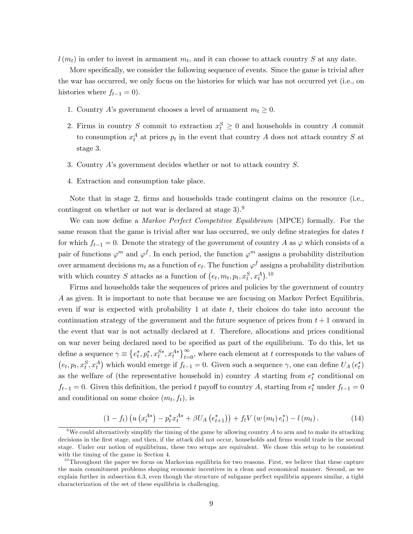$l(m_t)$  in order to invest in armament  $m_t$ , and it can choose to attack country S at any date.

More specifically, we consider the following sequence of events. Since the game is trivial after the war has occurred, we only focus on the histories for which war has not occurred yet (i.e., on histories where  $f_{t-1} = 0$ ).

- 1. Country A's government chooses a level of armament  $m_t \geq 0$ .
- 2. Firms in country S commit to extraction  $x_t^S \geq 0$  and households in country A commit to consumption  $x_t^A$  at prices  $p_t$  in the event that country A does not attack country S at stage 3.
- 3. Country A's government decides whether or not to attack country S.
- 4. Extraction and consumption take place.

Note that in stage 2, firms and households trade contingent claims on the resource (i.e., contingent on whether or not war is declared at stage 3).<sup>9</sup>

We can now define a *Markov Perfect Competitive Equilibrium* (MPCE) formally. For the same reason that the game is trivial after war has occurred, we only define strategies for dates  $t$ for which  $f_{t-1} = 0$ . Denote the strategy of the government of country A as  $\varphi$  which consists of a pair of functions  $\varphi^m$  and  $\varphi^f$ . In each period, the function  $\varphi^m$  assigns a probability distribution over armament decisions  $m_t$  as a function of  $e_t$ . The function  $\varphi^f$  assigns a probability distribution with which country S attacks as a function of  $(e_t, m_t, p_t, x_t^S, x_t^A)$ .<sup>10</sup>

Firms and households take the sequences of prices and policies by the government of country A as given. It is important to note that because we are focusing on Markov Perfect Equilibria, even if war is expected with probability 1 at date  $t$ , their choices do take into account the continuation strategy of the government and the future sequence of prices from  $t + 1$  onward in the event that war is not actually declared at t. Therefore, allocations and prices conditional on war never being declared need to be specified as part of the equilibrium. To do this, let us define a sequence  $\gamma \equiv \{e_t^*, p_t^*, x_t^{S*}, x_t^{A*}\}_{t=0}^{\infty}$ , where each element at t corresponds to the values of  $(e_t, p_t, x_t^S, x_t^A)$  which would emerge if  $f_{t-1} = 0$ . Given such a sequence  $\gamma$ , one can define  $U_A(e_t^*)$ as the welfare of (the representative household in) country A starting from  $e_t^*$  conditional on  $f_{t-1} = 0$ . Given this definition, the period t payoff to country A, starting from  $e_t^*$  under  $f_{t-1} = 0$ and conditional on some choice  $(m_t, f_t)$ , is

$$
(1 - f_t) \left( u \left( x_t^{A*} \right) - p_t^* x_t^{A*} + \beta U_A \left( e_{t+1}^* \right) \right) + f_t V \left( w \left( m_t \right) e_t^* \right) - l \left( m_t \right). \tag{14}
$$

<sup>&</sup>lt;sup>9</sup>We could alternatively simplify the timing of the game by allowing country A to arm and to make its attacking decisions in the first stage, and then, if the attack did not occur, households and firms would trade in the second stage. Under our notion of equilibrium, these two setups are equivalent. We chose this setup to be consistent with the timing of the game in Section 4.

 $10$ Throughout the paper we focus on Markovian equilibria for two reasons. First, we believe that these capture the main commitment problems shaping economic incentives in a clean and economical manner. Second, as we explain further in subsection 6.3, even though the structure of subgame perfect equilibria appears similar, a tight characterization of the set of these equilibria is challenging.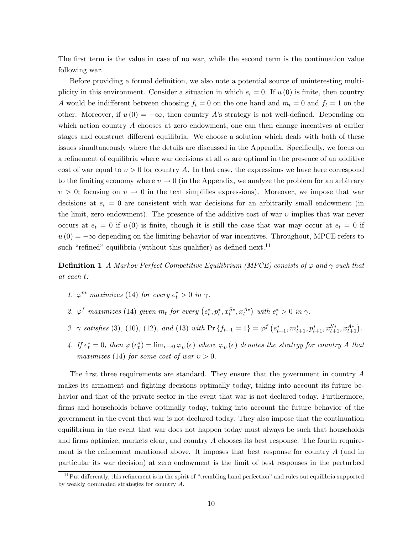The first term is the value in case of no war, while the second term is the continuation value following war.

Before providing a formal definition, we also note a potential source of uninteresting multiplicity in this environment. Consider a situation in which  $e_t = 0$ . If  $u(0)$  is finite, then country A would be indifferent between choosing  $f_t = 0$  on the one hand and  $m_t = 0$  and  $f_t = 1$  on the other. Moreover, if  $u(0) = -\infty$ , then country A's strategy is not well-defined. Depending on which action country A chooses at zero endowment, one can then change incentives at earlier stages and construct different equilibria. We choose a solution which deals with both of these issues simultaneously where the details are discussed in the Appendix. Specifically, we focus on a refinement of equilibria where war decisions at all  $e_t$  are optimal in the presence of an additive cost of war equal to  $v > 0$  for country A. In that case, the expressions we have here correspond to the limiting economy where  $v \to 0$  (in the Appendix, we analyze the problem for an arbitrary  $v > 0$ ; focusing on  $v \to 0$  in the text simplifies expressions). Moreover, we impose that war decisions at  $e_t = 0$  are consistent with war decisions for an arbitrarily small endowment (in the limit, zero endowment). The presence of the additive cost of war  $\upsilon$  implies that war never occurs at  $e_t = 0$  if  $u(0)$  is finite, though it is still the case that war may occur at  $e_t = 0$  if  $u(0) = -\infty$  depending on the limiting behavior of war incentives. Throughout, MPCE refers to such "refined" equilibria (without this qualifier) as defined next.<sup>11</sup>

**Definition 1** A Markov Perfect Competitive Equilibrium (MPCE) consists of  $\varphi$  and  $\gamma$  such that at each t:

- 1.  $\varphi^m$  maximizes (14) for every  $e_t^* > 0$  in  $\gamma$ .
- 2.  $\varphi^f$  maximizes (14) given  $m_t$  for every  $(e_t^*, p_t^*, x_t^{S*}, x_t^{A*})$  with  $e_t^* > 0$  in  $\gamma$ .
- 3.  $\gamma$  satisfies (3), (10), (12), and (13) with  $\Pr\{f_{t+1} = 1\} = \varphi^f\left(e_{t+1}^*, m_{t+1}^*, p_{t+1}^*, x_{t+1}^{S*}, x_{t+1}^{A*}\right)$ .
- 4. If  $e_t^* = 0$ , then  $\varphi(e_t^*) = \lim_{e \to 0} \varphi_v(e)$  where  $\varphi_v(e)$  denotes the strategy for country A that maximizes (14) for some cost of war  $v > 0$ .

The first three requirements are standard. They ensure that the government in country  $A$ makes its armament and fighting decisions optimally today, taking into account its future behavior and that of the private sector in the event that war is not declared today. Furthermore, firms and households behave optimally today, taking into account the future behavior of the government in the event that war is not declared today. They also impose that the continuation equilibrium in the event that war does not happen today must always be such that households and firms optimize, markets clear, and country  $A$  chooses its best response. The fourth requirement is the refinement mentioned above. It imposes that best response for country  $A$  (and in particular its war decision) at zero endowment is the limit of best responses in the perturbed

 $11$ Put differently, this refinement is in the spirit of "trembling hand perfection" and rules out equilibria supported by weakly dominated strategies for country A.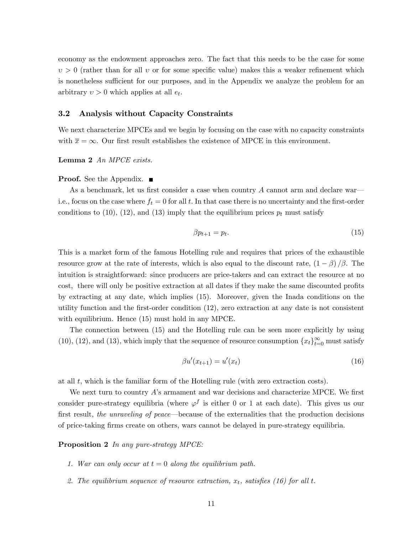economy as the endowment approaches zero. The fact that this needs to be the case for some  $v > 0$  (rather than for all v or for some specific value) makes this a weaker refinement which is nonetheless sufficient for our purposes, and in the Appendix we analyze the problem for an arbitrary  $v > 0$  which applies at all  $e_t$ .

#### 3.2 Analysis without Capacity Constraints

We next characterize MPCEs and we begin by focusing on the case with no capacity constraints with  $\bar{x} = \infty$ . Our first result establishes the existence of MPCE in this environment.

Lemma 2 An MPCE exists.

#### **Proof.** See the Appendix.  $\blacksquare$

As a benchmark, let us first consider a case when country  $A$  cannot arm and declare war i.e., focus on the case where  $f_t = 0$  for all t. In that case there is no uncertainty and the first-order conditions to (10), (12), and (13) imply that the equilibrium prices  $p_t$  must satisfy

$$
\beta p_{t+1} = p_t. \tag{15}
$$

This is a market form of the famous Hotelling rule and requires that prices of the exhaustible resource grow at the rate of interests, which is also equal to the discount rate,  $(1 - \beta)/\beta$ . The intuition is straightforward: since producers are price-takers and can extract the resource at no cost, there will only be positive extraction at all dates if they make the same discounted profits by extracting at any date, which implies (15). Moreover, given the Inada conditions on the utility function and the first-order condition  $(12)$ , zero extraction at any date is not consistent with equilibrium. Hence (15) must hold in any MPCE.

The connection between (15) and the Hotelling rule can be seen more explicitly by using (10), (12), and (13), which imply that the sequence of resource consumption  $\{x_t\}_{t=0}^{\infty}$  must satisfy

$$
\beta u'(x_{t+1}) = u'(x_t) \tag{16}
$$

at all t, which is the familiar form of the Hotelling rule (with zero extraction costs).

We next turn to country A's armament and war decisions and characterize MPCE. We first consider pure-strategy equilibria (where  $\varphi^f$  is either 0 or 1 at each date). This gives us our first result, the unraveling of peace—because of the externalities that the production decisions of price-taking Örms create on others, wars cannot be delayed in pure-strategy equilibria.

#### Proposition 2 In any pure-strategy MPCE:

- 1. War can only occur at  $t = 0$  along the equilibrium path.
- 2. The equilibrium sequence of resource extraction,  $x_t$ , satisfies (16) for all t.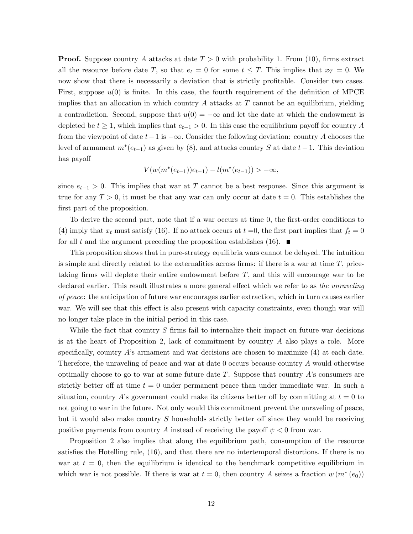**Proof.** Suppose country A attacks at date  $T > 0$  with probability 1. From (10), firms extract all the resource before date T, so that  $e_t = 0$  for some  $t \leq T$ . This implies that  $x_T = 0$ . We now show that there is necessarily a deviation that is strictly profitable. Consider two cases. First, suppose  $u(0)$  is finite. In this case, the fourth requirement of the definition of MPCE implies that an allocation in which country  $A$  attacks at  $T$  cannot be an equilibrium, yielding a contradiction. Second, suppose that  $u(0) = -\infty$  and let the date at which the endowment is depleted be  $t \geq 1$ , which implies that  $e_{t-1} > 0$ . In this case the equilibrium payoff for country A from the viewpoint of date  $t-1$  is  $-\infty$ . Consider the following deviation: country A chooses the level of armament  $m^*(e_{t-1})$  as given by  $(8)$ , and attacks country S at date  $t-1$ . This deviation has payoff

$$
V(w(m^*(e_{t-1}))e_{t-1}) - l(m^*(e_{t-1})) > -\infty,
$$

since  $e_{t-1} > 0$ . This implies that war at T cannot be a best response. Since this argument is true for any  $T > 0$ , it must be that any war can only occur at date  $t = 0$ . This establishes the first part of the proposition.

To derive the second part, note that if a war occurs at time 0, the first-order conditions to (4) imply that  $x_t$  must satisfy (16). If no attack occurs at  $t = 0$ , the first part implies that  $f_t = 0$ for all t and the argument preceding the proposition establishes (16).  $\blacksquare$ 

This proposition shows that in pure-strategy equilibria wars cannot be delayed. The intuition is simple and directly related to the externalities across firms: if there is a war at time  $T$ , pricetaking firms will deplete their entire endowment before  $T$ , and this will encourage war to be declared earlier. This result illustrates a more general effect which we refer to as the unraveling of peace: the anticipation of future war encourages earlier extraction, which in turn causes earlier war. We will see that this effect is also present with capacity constraints, even though war will no longer take place in the initial period in this case.

While the fact that country  $S$  firms fail to internalize their impact on future war decisions is at the heart of Proposition 2, lack of commitment by country A also plays a role. More specifically, country  $A$ 's armament and war decisions are chosen to maximize  $(4)$  at each date. Therefore, the unraveling of peace and war at date 0 occurs because country A would otherwise optimally choose to go to war at some future date  $T$ . Suppose that country  $\hat{A}$ 's consumers are strictly better of at time  $t = 0$  under permanent peace than under immediate war. In such a situation, country A's government could make its citizens better off by committing at  $t = 0$  to not going to war in the future. Not only would this commitment prevent the unraveling of peace, but it would also make country  $S$  households strictly better off since they would be receiving positive payments from country A instead of receiving the payoff  $\psi < 0$  from war.

Proposition 2 also implies that along the equilibrium path, consumption of the resource satisfies the Hotelling rule,  $(16)$ , and that there are no intertemporal distortions. If there is no war at  $t = 0$ , then the equilibrium is identical to the benchmark competitive equilibrium in which war is not possible. If there is war at  $t = 0$ , then country A seizes a fraction  $w(m^*(e_0))$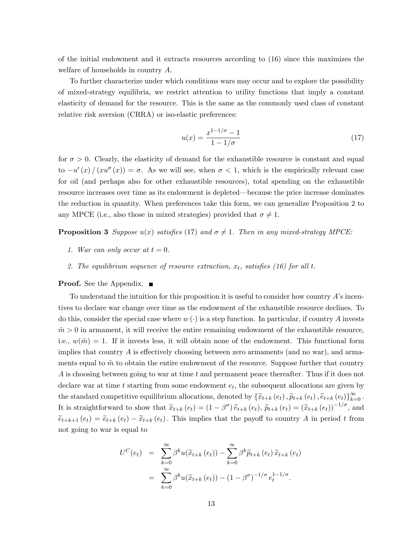of the initial endowment and it extracts resources according to (16) since this maximizes the welfare of households in country A.

To further characterize under which conditions wars may occur and to explore the possibility of mixed-strategy equilibria, we restrict attention to utility functions that imply a constant elasticity of demand for the resource. This is the same as the commonly used class of constant relative risk aversion (CRRA) or iso-elastic preferences:

$$
u(x) = \frac{x^{1-1/\sigma} - 1}{1 - 1/\sigma}
$$
 (17)

for  $\sigma > 0$ . Clearly, the elasticity of demand for the exhaustible resource is constant and equal to  $-u'(x)/(x u''(x)) = \sigma$ . As we will see, when  $\sigma < 1$ , which is the empirically relevant case for oil (and perhaps also for other exhaustible resources), total spending on the exhaustible resource increases over time as its endowment is depleted—because the price increase dominates the reduction in quantity. When preferences take this form, we can generalize Proposition 2 to any MPCE (i.e., also those in mixed strategies) provided that  $\sigma \neq 1$ .

**Proposition 3** Suppose  $u(x)$  satisfies (17) and  $\sigma \neq 1$ . Then in any mixed-strategy MPCE:

- 1. War can only occur at  $t = 0$ .
- 2. The equilibrium sequence of resource extraction,  $x_t$ , satisfies (16) for all t.

#### **Proof.** See the Appendix. ■

To understand the intuition for this proposition it is useful to consider how country  $\vec{A}$ 's incentives to declare war change over time as the endowment of the exhaustible resource declines. To do this, consider the special case where  $w(\cdot)$  is a step function. In particular, if country A invests  $m > 0$  in armament, it will receive the entire remaining endowment of the exhaustible resource, i.e.,  $w(\tilde{m}) = 1$ . If it invests less, it will obtain none of the endowment. This functional form implies that country  $A$  is effectively choosing between zero armaments (and no war), and armaments equal to  $\tilde{m}$  to obtain the entire endowment of the resource. Suppose further that country A is choosing between going to war at time t and permanent peace thereafter. Thus if it does not declare war at time  $t$  starting from some endowment  $e_t$ , the subsequent allocations are given by the standard competitive equilibrium allocations, denoted by  $\{\widetilde{x}_{t+k}(e_t), \widetilde{p}_{t+k}(e_t), \widetilde{e}_{t+k}(e_t)\}_{k=0}^{\infty}$ . It is straightforward to show that  $\tilde{x}_{t+k}(e_t) = (1-\beta^{\sigma}) \tilde{e}_{t+k}(e_t), \tilde{p}_{t+k}(e_t) = (\tilde{x}_{t+k}(e_t))^{-1/\sigma}$ , and  $\tilde{e}_{t+k+1}(e_t) = \tilde{e}_{t+k}(e_t) - \tilde{x}_{t+k}(e_t)$ . This implies that the payoff to country A in period t from not going to war is equal to

$$
U^{C}(e_{t}) = \sum_{k=0}^{\infty} \beta^{k} u(\widetilde{x}_{t+k}(e_{t})) - \sum_{k=0}^{\infty} \beta^{k} \widetilde{p}_{t+k}(e_{t}) \widetilde{x}_{t+k}(e_{t})
$$

$$
= \sum_{k=0}^{\infty} \beta^{k} u(\widetilde{x}_{t+k}(e_{t})) - (1 - \beta^{\sigma})^{-1/\sigma} e_{t}^{1-1/\sigma}.
$$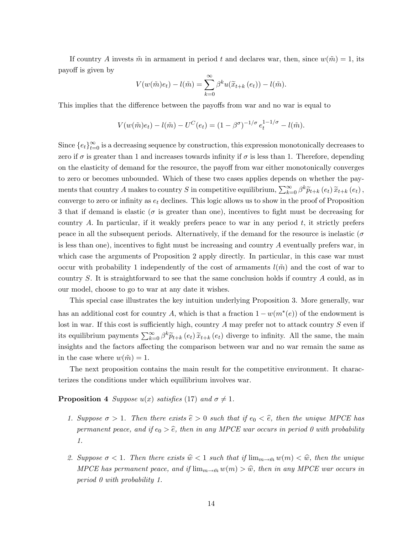If country A invests  $\tilde{m}$  in armament in period t and declares war, then, since  $w(\tilde{m}) = 1$ , its payoff is given by

$$
V(w(\tilde{m})e_t) - l(\tilde{m}) = \sum_{k=0}^{\infty} \beta^k u(\tilde{x}_{t+k}(e_t)) - l(\tilde{m}).
$$

This implies that the difference between the payoffs from war and no war is equal to

$$
V(w(\tilde{m})e_t) - l(\tilde{m}) - U^C(e_t) = (1 - \beta^{\sigma})^{-1/\sigma} e_t^{1 - 1/\sigma} - l(\tilde{m}).
$$

Since  $\{e_t\}_{t=0}^{\infty}$  is a decreasing sequence by construction, this expression monotonically decreases to zero if  $\sigma$  is greater than 1 and increases towards infinity if  $\sigma$  is less than 1. Therefore, depending on the elasticity of demand for the resource, the payoff from war either monotonically converges to zero or becomes unbounded. Which of these two cases applies depends on whether the payments that country A makes to country S in competitive equilibrium,  $\sum_{k=0}^{\infty} \beta^k \widetilde{p}_{t+k}(e_t) \widetilde{x}_{t+k}(e_t)$ , converge to zero or infinity as  $e_t$  declines. This logic allows us to show in the proof of Proposition 3 that if demand is elastic ( $\sigma$  is greater than one), incentives to fight must be decreasing for country A. In particular, if it weakly prefers peace to war in any period  $t$ , it strictly prefers peace in all the subsequent periods. Alternatively, if the demand for the resource is inelastic ( $\sigma$ is less than one), incentives to fight must be increasing and country  $A$  eventually prefers war, in which case the arguments of Proposition 2 apply directly. In particular, in this case war must occur with probability 1 independently of the cost of armaments  $l(\tilde{m})$  and the cost of war to country S. It is straightforward to see that the same conclusion holds if country A could, as in our model, choose to go to war at any date it wishes.

This special case illustrates the key intuition underlying Proposition 3. More generally, war has an additional cost for country A, which is that a fraction  $1 - w(m^*(e))$  of the endowment is lost in war. If this cost is sufficiently high, country  $A$  may prefer not to attack country  $S$  even if its equilibrium payments  $\sum_{k=0}^{\infty} \beta^k \tilde{p}_{t+k}(e_t) \tilde{x}_{t+k}(e_t)$  diverge to infinity. All the same, the main insights and the factors affecting the comparison between war and no war remain the same as in the case where  $w(\tilde{m}) = 1$ .

The next proposition contains the main result for the competitive environment. It characterizes the conditions under which equilibrium involves war.

#### **Proposition 4** Suppose  $u(x)$  satisfies (17) and  $\sigma \neq 1$ .

- 1. Suppose  $\sigma > 1$ . Then there exists  $\hat{e} > 0$  such that if  $e_0 < \hat{e}$ , then the unique MPCE has permanent peace, and if  $e_0 > \hat{e}$ , then in any MPCE war occurs in period 0 with probability 1.
- 2. Suppose  $\sigma < 1$ . Then there exists  $\hat{w} < 1$  such that if  $\lim_{m \to \bar{m}} w(m) < \hat{w}$ , then the unique MPCE has permanent peace, and if  $\lim_{m\to \bar m} w(m) > \hat w$ , then in any MPCE war occurs in period 0 with probability 1.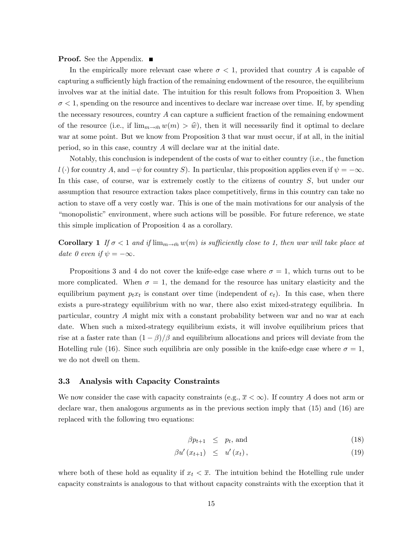**Proof.** See the Appendix. ■

In the empirically more relevant case where  $\sigma < 1$ , provided that country A is capable of capturing a sufficiently high fraction of the remaining endowment of the resource, the equilibrium involves war at the initial date. The intuition for this result follows from Proposition 3. When  $\sigma$  < 1, spending on the resource and incentives to declare war increase over time. If, by spending the necessary resources, country  $A$  can capture a sufficient fraction of the remaining endowment of the resource (i.e., if  $\lim_{m\to \bar m} w(m) > \hat w$ ), then it will necessarily find it optimal to declare war at some point. But we know from Proposition 3 that war must occur, if at all, in the initial period, so in this case, country  $A$  will declare war at the initial date.

Notably, this conclusion is independent of the costs of war to either country (i.e., the function  $l(\cdot)$  for country A, and  $-\psi$  for country S). In particular, this proposition applies even if  $\psi = -\infty$ . In this case, of course, war is extremely costly to the citizens of country  $S$ , but under our assumption that resource extraction takes place competitively, firms in this country can take no action to stave off a very costly war. This is one of the main motivations for our analysis of the "monopolistic" environment, where such actions will be possible. For future reference, we state this simple implication of Proposition 4 as a corollary.

**Corollary 1** If  $\sigma < 1$  and if  $\lim_{m \to \bar{m}} w(m)$  is sufficiently close to 1, then war will take place at date 0 even if  $\psi = -\infty$ .

Propositions 3 and 4 do not cover the knife-edge case where  $\sigma = 1$ , which turns out to be more complicated. When  $\sigma = 1$ , the demand for the resource has unitary elasticity and the equilibrium payment  $p_t x_t$  is constant over time (independent of  $e_t$ ). In this case, when there exists a pure-strategy equilibrium with no war, there also exist mixed-strategy equilibria. In particular, country A might mix with a constant probability between war and no war at each date. When such a mixed-strategy equilibrium exists, it will involve equilibrium prices that rise at a faster rate than  $(1 - \beta)/\beta$  and equilibrium allocations and prices will deviate from the Hotelling rule (16). Since such equilibria are only possible in the knife-edge case where  $\sigma = 1$ , we do not dwell on them.

#### 3.3 Analysis with Capacity Constraints

We now consider the case with capacity constraints (e.g.,  $\bar{x} < \infty$ ). If country A does not arm or declare war, then analogous arguments as in the previous section imply that (15) and (16) are replaced with the following two equations:

$$
\beta p_{t+1} \leq p_t, \text{ and } \tag{18}
$$

$$
\beta u'(x_{t+1}) \leq u'(x_t), \qquad (19)
$$

where both of these hold as equality if  $x_t < \overline{x}$ . The intuition behind the Hotelling rule under capacity constraints is analogous to that without capacity constraints with the exception that it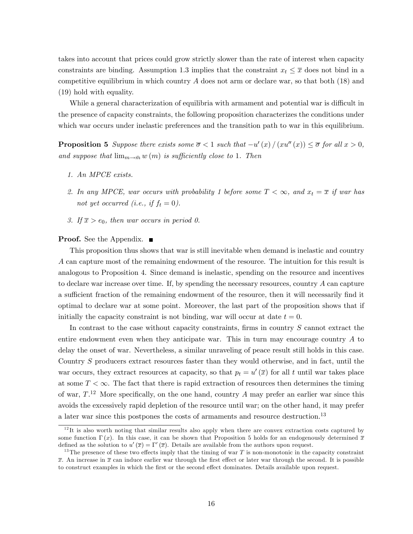takes into account that prices could grow strictly slower than the rate of interest when capacity constraints are binding. Assumption 1.3 implies that the constraint  $x_t \leq \overline{x}$  does not bind in a competitive equilibrium in which country  $A$  does not arm or declare war, so that both  $(18)$  and (19) hold with equality.

While a general characterization of equilibria with armament and potential war is difficult in the presence of capacity constraints, the following proposition characterizes the conditions under which war occurs under inelastic preferences and the transition path to war in this equilibrium.

**Proposition 5** Suppose there exists some  $\overline{\sigma}$  < 1 such that  $-u'(x)/(xu''(x)) \leq \overline{\sigma}$  for all  $x > 0$ , and suppose that  $\lim_{m\to \bar m} w(m)$  is sufficiently close to 1. Then

- 1. An MPCE exists.
- 2. In any MPCE, war occurs with probability 1 before some  $T < \infty$ , and  $x_t = \overline{x}$  if war has not yet occurred (i.e., if  $f_t = 0$ ).
- 3. If  $\overline{x} > e_0$ , then war occurs in period 0.

#### **Proof.** See the Appendix.  $\blacksquare$

This proposition thus shows that war is still inevitable when demand is inelastic and country A can capture most of the remaining endowment of the resource. The intuition for this result is analogous to Proposition 4. Since demand is inelastic, spending on the resource and incentives to declare war increase over time. If, by spending the necessary resources, country A can capture a sufficient fraction of the remaining endowment of the resource, then it will necessarily find it optimal to declare war at some point. Moreover, the last part of the proposition shows that if initially the capacity constraint is not binding, war will occur at date  $t = 0$ .

In contrast to the case without capacity constraints, firms in country  $S$  cannot extract the entire endowment even when they anticipate war. This in turn may encourage country A to delay the onset of war. Nevertheless, a similar unraveling of peace result still holds in this case. Country S producers extract resources faster than they would otherwise, and in fact, until the war occurs, they extract resources at capacity, so that  $p_t = u'(\overline{x})$  for all t until war takes place at some  $T < \infty$ . The fact that there is rapid extraction of resources then determines the timing of war,  $T^{12}$  More specifically, on the one hand, country A may prefer an earlier war since this avoids the excessively rapid depletion of the resource until war; on the other hand, it may prefer a later war since this postpones the costs of armaments and resource destruction.<sup>13</sup>

<sup>&</sup>lt;sup>12</sup>It is also worth noting that similar results also apply when there are convex extraction costs captured by some function  $\Gamma(x)$ . In this case, it can be shown that Proposition 5 holds for an endogenously determined  $\bar{x}$ defined as the solution to  $u'(\overline{x}) = \Gamma'(\overline{x})$ . Details are available from the authors upon request.

<sup>&</sup>lt;sup>13</sup>The presence of these two effects imply that the timing of war T is non-monotonic in the capacity constraint  $\bar{x}$ . An increase in  $\bar{x}$  can induce earlier war through the first effect or later war through the second. It is possible to construct examples in which the first or the second effect dominates. Details available upon request.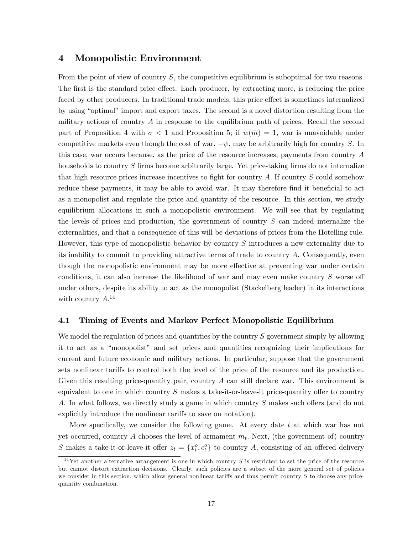### 4 Monopolistic Environment

From the point of view of country S, the competitive equilibrium is suboptimal for two reasons. The first is the standard price effect. Each producer, by extracting more, is reducing the price faced by other producers. In traditional trade models, this price effect is sometimes internalized by using "optimal" import and export taxes. The second is a novel distortion resulting from the military actions of country  $A$  in response to the equilibrium path of prices. Recall the second part of Proposition 4 with  $\sigma < 1$  and Proposition 5; if  $w(\overline{m}) = 1$ , war is unavoidable under competitive markets even though the cost of war,  $-\psi$ , may be arbitrarily high for country S. In this case, war occurs because, as the price of the resource increases, payments from country A households to country  $S$  firms become arbitrarily large. Yet price-taking firms do not internalize that high resource prices increase incentives to fight for country  $A$ . If country  $S$  could somehow reduce these payments, it may be able to avoid war. It may therefore find it beneficial to act as a monopolist and regulate the price and quantity of the resource. In this section, we study equilibrium allocations in such a monopolistic environment. We will see that by regulating the levels of prices and production, the government of country S can indeed internalize the externalities, and that a consequence of this will be deviations of prices from the Hotelling rule. However, this type of monopolistic behavior by country S introduces a new externality due to its inability to commit to providing attractive terms of trade to country A. Consequently, even though the monopolistic environment may be more effective at preventing war under certain conditions, it can also increase the likelihood of war and may even make country  $S$  worse off under others, despite its ability to act as the monopolist (Stackelberg leader) in its interactions with country  $A^{14}$ 

#### 4.1 Timing of Events and Markov Perfect Monopolistic Equilibrium

We model the regulation of prices and quantities by the country S government simply by allowing it to act as a "monopolist" and set prices and quantities recognizing their implications for current and future economic and military actions. In particular, suppose that the government sets nonlinear tariffs to control both the level of the price of the resource and its production. Given this resulting price-quantity pair, country A can still declare war. This environment is equivalent to one in which country  $S$  makes a take-it-or-leave-it price-quantity offer to country A. In what follows, we directly study a game in which country  $S$  makes such offers (and do not explicitly introduce the nonlinear tariffs to save on notation).

More specifically, we consider the following game. At every date t at which war has not yet occurred, country A chooses the level of armament  $m_t$ . Next, (the government of) country S makes a take-it-or-leave-it offer  $z_t = \{x_t^o, c_t^o\}$  to country A, consisting of an offered delivery

<sup>&</sup>lt;sup>14</sup>Yet another alternative arrangement is one in which country S is restricted to set the price of the resource but cannot distort extraction decisions. Clearly, such policies are a subset of the more general set of policies we consider in this section, which allow general nonlinear tariffs and thus permit country  $S$  to choose any pricequantity combination.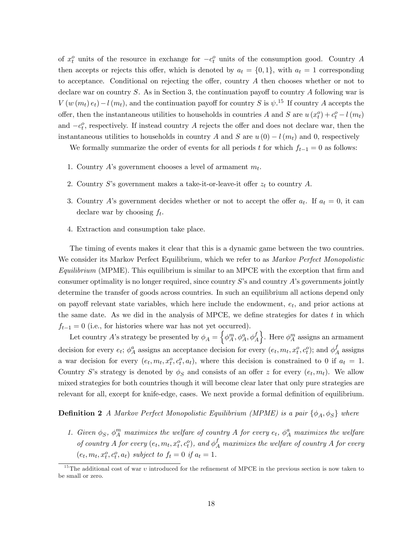of  $x_t^o$  units of the resource in exchange for  $-c_t^o$  units of the consumption good. Country A then accepts or rejects this offer, which is denoted by  $a_t = \{0, 1\}$ , with  $a_t = 1$  corresponding to acceptance. Conditional on rejecting the offer, country  $A$  then chooses whether or not to declare war on country  $S$ . As in Section 3, the continuation payoff to country  $A$  following war is  $V(w(m_t) e_t) - l(m_t)$ , and the continuation payoff for country S is  $\psi$ <sup>15</sup>. If country A accepts the offer, then the instantaneous utilities to households in countries A and S are  $u(x_t^o) + c_t^o - l(m_t)$ and  $-c_t^o$ , respectively. If instead country A rejects the offer and does not declare war, then the instantaneous utilities to households in country A and S are  $u(0) - l(m_t)$  and 0, respectively

We formally summarize the order of events for all periods t for which  $f_{t-1} = 0$  as follows:

- 1. Country A's government chooses a level of armament  $m_t$ .
- 2. Country S's government makes a take-it-or-leave-it offer  $z_t$  to country A.
- 3. Country A's government decides whether or not to accept the offer  $a_t$ . If  $a_t = 0$ , it can declare war by choosing  $f_t$ .
- 4. Extraction and consumption take place.

The timing of events makes it clear that this is a dynamic game between the two countries. We consider its Markov Perfect Equilibrium, which we refer to as *Markov Perfect Monopolistic*  $Equilibrium$  (MPME). This equilibrium is similar to an MPCE with the exception that firm and consumer optimality is no longer required, since country  $S$ 's and country  $A$ 's governments jointly determine the transfer of goods across countries. In such an equilibrium all actions depend only on payoff relevant state variables, which here include the endowment,  $e_t$ , and prior actions at the same date. As we did in the analysis of MPCE, we define strategies for dates  $t$  in which  $f_{t-1} = 0$  (i.e., for histories where war has not yet occurred).

Let country A's strategy be presented by  $\phi_A = \left\{ \phi^m_A, \phi^a_A, \phi^f_A \right\}$ . Here  $\phi^m_A$  assigns an armament decision for every  $e_t$ ;  $\phi_A^a$  assigns an acceptance decision for every  $(e_t, m_t, x_t^o, c_t^o)$ ; and  $\phi_A^f$  $A^J$  assigns a war decision for every  $(e_t, m_t, x_t^o, c_t^o, a_t)$ , where this decision is constrained to 0 if  $a_t = 1$ . Country S's strategy is denoted by  $\phi_S$  and consists of an offer z for every  $(e_t, m_t)$ . We allow mixed strategies for both countries though it will become clear later that only pure strategies are relevant for all, except for knife-edge, cases. We next provide a formal definition of equilibrium.

#### **Definition 2** A Markov Perfect Monopolistic Equilibrium (MPME) is a pair  $\{\phi_A, \phi_S\}$  where

1. Given  $\phi_S$ ,  $\phi_A^m$  maximizes the welfare of country A for every  $e_t$ ,  $\phi_A^a$  maximizes the welfare of country A for every  $(e_t, m_t, x_t^o, c_t^o)$ , and  $\phi_A^f$  maximizes the welfare of country A for every  $(e_t, m_t, x_t^o, c_t^o, a_t)$  subject to  $f_t = 0$  if  $a_t = 1$ .

<sup>&</sup>lt;sup>15</sup>The additional cost of war  $v$  introduced for the refinement of MPCE in the previous section is now taken to be small or zero.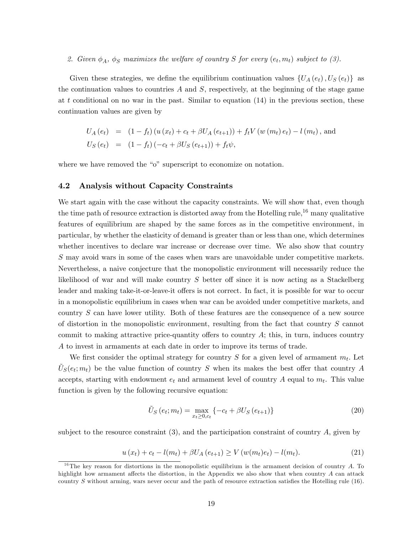# 2. Given  $\phi_A$ ,  $\phi_S$  maximizes the welfare of country S for every  $(e_t, m_t)$  subject to (3).

Given these strategies, we define the equilibrium continuation values  $\{U_A(e_t), U_S(e_t)\}\$  as the continuation values to countries  $A$  and  $S$ , respectively, at the beginning of the stage game at t conditional on no war in the past. Similar to equation  $(14)$  in the previous section, these continuation values are given by

$$
U_A(e_t) = (1 - f_t) (u(x_t) + c_t + \beta U_A(e_{t+1})) + f_t V(w(m_t) e_t) - l(m_t), \text{ and}
$$
  
\n
$$
U_S(e_t) = (1 - f_t) (-c_t + \beta U_S(e_{t+1})) + f_t \psi,
$$

where we have removed the " $o$ " superscript to economize on notation.

#### 4.2 Analysis without Capacity Constraints

We start again with the case without the capacity constraints. We will show that, even though the time path of resource extraction is distorted away from the Hotelling rule,<sup>16</sup> many qualitative features of equilibrium are shaped by the same forces as in the competitive environment, in particular, by whether the elasticity of demand is greater than or less than one, which determines whether incentives to declare war increase or decrease over time. We also show that country S may avoid wars in some of the cases when wars are unavoidable under competitive markets. Nevertheless, a naive conjecture that the monopolistic environment will necessarily reduce the likelihood of war and will make country  $S$  better off since it is now acting as a Stackelberg leader and making take-it-or-leave-it offers is not correct. In fact, it is possible for war to occur in a monopolistic equilibrium in cases when war can be avoided under competitive markets, and country S can have lower utility. Both of these features are the consequence of a new source of distortion in the monopolistic environment, resulting from the fact that country S cannot commit to making attractive price-quantity offers to country  $A$ ; this, in turn, induces country A to invest in armaments at each date in order to improve its terms of trade.

We first consider the optimal strategy for country  $S$  for a given level of armament  $m_t$ . Let  $\tilde{U}_{S}(e_t; m_t)$  be the value function of country S when its makes the best offer that country A accepts, starting with endowment  $e_t$  and armament level of country A equal to  $m_t$ . This value function is given by the following recursive equation:

$$
\tilde{U}_S(e_t; m_t) = \max_{x_t \ge 0, c_t} \{-c_t + \beta U_S(e_{t+1})\}
$$
\n(20)

subject to the resource constraint  $(3)$ , and the participation constraint of country A, given by

$$
u(x_t) + c_t - l(m_t) + \beta U_A(e_{t+1}) \ge V(w(m_t)e_t) - l(m_t). \tag{21}
$$

<sup>&</sup>lt;sup>16</sup>The key reason for distortions in the monopolistic equilibrium is the armament decision of country  $A$ . To highlight how armament affects the distortion, in the Appendix we also show that when country  $A$  can attack country S without arming, wars never occur and the path of resource extraction satisfies the Hotelling rule  $(16)$ .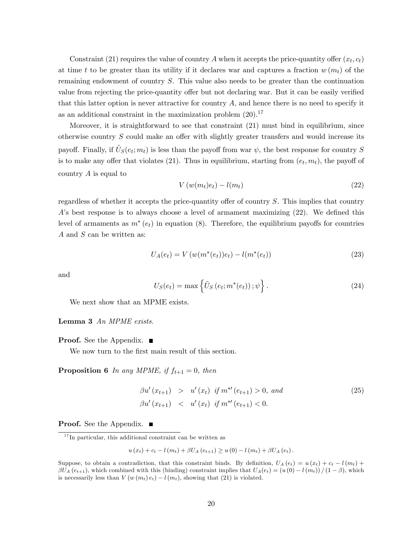Constraint (21) requires the value of country A when it accepts the price-quantity offer  $(x_t, c_t)$ at time t to be greater than its utility if it declares war and captures a fraction  $w(m_t)$  of the remaining endowment of country S. This value also needs to be greater than the continuation value from rejecting the price-quantity offer but not declaring war. But it can be easily verified that this latter option is never attractive for country  $A$ , and hence there is no need to specify it as an additional constraint in the maximization problem  $(20).<sup>17</sup>$ 

Moreover, it is straightforward to see that constraint (21) must bind in equilibrium, since otherwise country  $S$  could make an offer with slightly greater transfers and would increase its payoff. Finally, if  $\tilde{U}_{S}(e_t; m_t)$  is less than the payoff from war  $\psi$ , the best response for country S is to make any offer that violates (21). Thus in equilibrium, starting from  $(e_t, m_t)$ , the payoff of country  $A$  is equal to

$$
V(w(m_t)e_t) - l(m_t)
$$
\n(22)

regardless of whether it accepts the price-quantity offer of country  $S$ . This implies that country A's best response is to always choose a level of armament maximizing  $(22)$ . We defined this level of armaments as  $m^*(e_t)$  in equation (8). Therefore, the equilibrium payoffs for countries A and S can be written as:

$$
U_A(e_t) = V(w(m^*(e_t))e_t) - l(m^*(e_t))
$$
\n(23)

and

$$
U_S(e_t) = \max\left\{\tilde{U}_S\left(e_t; m^*(e_t)\right); \psi\right\}.
$$
\n(24)

We next show that an MPME exists.

Lemma 3 An MPME exists.

**Proof.** See the Appendix. ■

We now turn to the first main result of this section.

**Proposition 6** In any MPME, if  $f_{t+1} = 0$ , then

$$
\beta u'(x_{t+1}) > u'(x_t) \text{ if } m^{*'}(e_{t+1}) > 0, \text{ and}
$$
  
\n
$$
\beta u'(x_{t+1}) < u'(x_t) \text{ if } m^{*'}(e_{t+1}) < 0.
$$
\n(25)

**Proof.** See the Appendix. ■

$$
u(x_t) + c_t - l(m_t) + \beta U_A(e_{t+1}) \geq u(0) - l(m_t) + \beta U_A(e_t).
$$

<sup>&</sup>lt;sup>17</sup> In particular, this additional constraint can be written as

Suppose, to obtain a contradiction, that this constraint binds. By definition,  $U_A(e_t) = u(x_t) + c_t - l(m_t) +$  $\beta U_A(e_{t+1}),$  which combined with this (binding) constraint implies that  $U_A(e_t) = (u(0) - l(m_t)) / (1 - \beta)$ , which is necessarily less than  $V(w(m_t) e_t) - l(m_t)$ , showing that (21) is violated.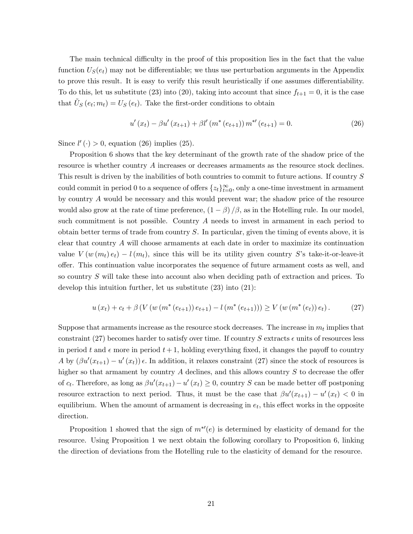The main technical difficulty in the proof of this proposition lies in the fact that the value function  $U<sub>S</sub>(e<sub>t</sub>)$  may not be differentiable; we thus use perturbation arguments in the Appendix to prove this result. It is easy to verify this result heuristically if one assumes differentiability. To do this, let us substitute (23) into (20), taking into account that since  $f_{t+1} = 0$ , it is the case that  $\tilde{U}_{S}$   $(e_{t}; m_{t}) = U_{S}$   $(e_{t})$ . Take the first-order conditions to obtain

$$
u'(x_t) - \beta u'(x_{t+1}) + \beta l'(m^*(e_{t+1})) m^{*}(e_{t+1}) = 0.
$$
 (26)

Since  $l'(\cdot) > 0$ , equation (26) implies (25).

Proposition 6 shows that the key determinant of the growth rate of the shadow price of the resource is whether country A increases or decreases armaments as the resource stock declines. This result is driven by the inabilities of both countries to commit to future actions. If country S could commit in period 0 to a sequence of offers  $\{z_t\}_{t=0}^{\infty}$ , only a one-time investment in armament by country A would be necessary and this would prevent war; the shadow price of the resource would also grow at the rate of time preference,  $(1 - \beta)/\beta$ , as in the Hotelling rule. In our model, such commitment is not possible. Country A needs to invest in armament in each period to obtain better terms of trade from country S. In particular, given the timing of events above, it is clear that country A will choose armaments at each date in order to maximize its continuation value  $V(w(m_t) e_t) - l(m_t)$ , since this will be its utility given country S's take-it-or-leave-it offer. This continuation value incorporates the sequence of future armament costs as well, and so country S will take these into account also when deciding path of extraction and prices. To develop this intuition further, let us substitute (23) into (21):

$$
u(x_t) + c_t + \beta \left( V \left( w \left( m^*(e_{t+1}) \right) e_{t+1} \right) - l \left( m^*(e_{t+1}) \right) \right) \geq V \left( w \left( m^*(e_t) \right) e_t \right). \tag{27}
$$

Suppose that armaments increase as the resource stock decreases. The increase in  $m_t$  implies that constraint (27) becomes harder to satisfy over time. If country S extracts  $\epsilon$  units of resources less in period t and  $\epsilon$  more in period  $t + 1$ , holding everything fixed, it changes the payoff to country A by  $(\beta u'(x_{t+1}) - u'(x_t))$   $\epsilon$ . In addition, it relaxes constraint (27) since the stock of resources is higher so that armament by country  $A$  declines, and this allows country  $S$  to decrease the offer of  $c_t$ . Therefore, as long as  $\beta u'(x_{t+1}) - u'(x_t) \geq 0$ , country S can be made better off postponing resource extraction to next period. Thus, it must be the case that  $\beta u'(x_{t+1}) - u'(x_t) < 0$  in equilibrium. When the amount of armament is decreasing in  $e_t$ , this effect works in the opposite direction.

Proposition 1 showed that the sign of  $m^{*'}(e)$  is determined by elasticity of demand for the resource. Using Proposition 1 we next obtain the following corollary to Proposition 6, linking the direction of deviations from the Hotelling rule to the elasticity of demand for the resource.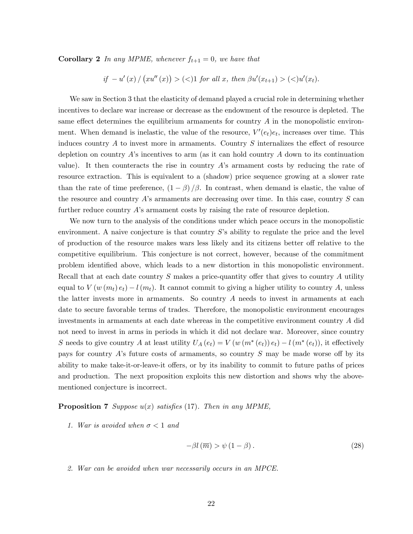**Corollary 2** In any MPME, whenever  $f_{t+1} = 0$ , we have that

if 
$$
-u'(x) / (xu''(x)) > (<1
$$
) for all x, then  $\beta u'(x_{t+1}) > ((x_t).$ 

We saw in Section 3 that the elasticity of demand played a crucial role in determining whether incentives to declare war increase or decrease as the endowment of the resource is depleted. The same effect determines the equilibrium armaments for country  $A$  in the monopolistic environment. When demand is inelastic, the value of the resource,  $V'(e_t)e_t$ , increases over time. This induces country  $A$  to invest more in armaments. Country  $S$  internalizes the effect of resource depletion on country  $A$ 's incentives to arm (as it can hold country  $A$  down to its continuation value). It then counteracts the rise in country  $A$ 's armament costs by reducing the rate of resource extraction. This is equivalent to a (shadow) price sequence growing at a slower rate than the rate of time preference,  $(1 - \beta)/\beta$ . In contrast, when demand is elastic, the value of the resource and country  $A$ 's armaments are decreasing over time. In this case, country  $S$  can further reduce country  $A$ 's armament costs by raising the rate of resource depletion.

We now turn to the analysis of the conditions under which peace occurs in the monopolistic environment. A naive conjecture is that country  $S$ 's ability to regulate the price and the level of production of the resource makes wars less likely and its citizens better of relative to the competitive equilibrium. This conjecture is not correct, however, because of the commitment problem identiÖed above, which leads to a new distortion in this monopolistic environment. Recall that at each date country  $S$  makes a price-quantity offer that gives to country  $A$  utility equal to  $V(w(m_t) e_t) - l(m_t)$ . It cannot commit to giving a higher utility to country A, unless the latter invests more in armaments. So country A needs to invest in armaments at each date to secure favorable terms of trades. Therefore, the monopolistic environment encourages investments in armaments at each date whereas in the competitive environment country A did not need to invest in arms in periods in which it did not declare war. Moreover, since country S needs to give country A at least utility  $U_A(e_t) = V(w(m^*(e_t))e_t) - l(m^*(e_t))$ , it effectively pays for country A's future costs of armaments, so country  $S$  may be made worse off by its ability to make take-it-or-leave-it offers, or by its inability to commit to future paths of prices and production. The next proposition exploits this new distortion and shows why the abovementioned conjecture is incorrect.

#### **Proposition 7** Suppose  $u(x)$  satisfies (17). Then in any MPME,

1. War is avoided when  $\sigma < 1$  and

$$
-\beta l\left(\overline{m}\right) > \psi\left(1-\beta\right). \tag{28}
$$

2. War can be avoided when war necessarily occurs in an MPCE.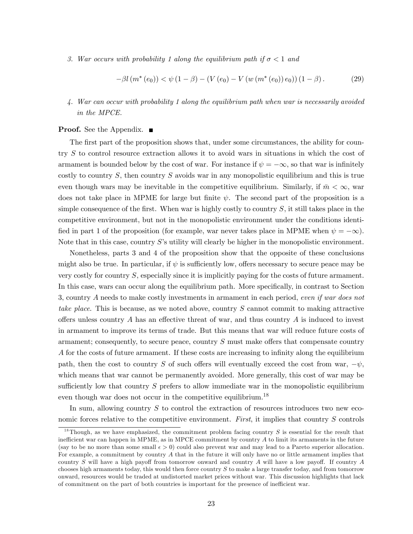3. War occurs with probability 1 along the equilibrium path if  $\sigma < 1$  and

$$
-\beta l(m^*(e_0)) < \psi(1-\beta) - (V(e_0) - V(w(m^*(e_0))e_0)) (1-\beta).
$$
 (29)

4. War can occur with probability 1 along the equilibrium path when war is necessarily avoided in the MPCE.

#### **Proof.** See the Appendix. ■

The first part of the proposition shows that, under some circumstances, the ability for country S to control resource extraction allows it to avoid wars in situations in which the cost of armament is bounded below by the cost of war. For instance if  $\psi = -\infty$ , so that war is infinitely costly to country  $S$ , then country  $S$  avoids war in any monopolistic equilibrium and this is true even though wars may be inevitable in the competitive equilibrium. Similarly, if  $\bar{m} < \infty$ , war does not take place in MPME for large but finite  $\psi$ . The second part of the proposition is a simple consequence of the first. When war is highly costly to country  $S$ , it still takes place in the competitive environment, but not in the monopolistic environment under the conditions identified in part 1 of the proposition (for example, war never takes place in MPME when  $\psi = -\infty$ ). Note that in this case, country  $S$ 's utility will clearly be higher in the monopolistic environment.

Nonetheless, parts 3 and 4 of the proposition show that the opposite of these conclusions might also be true. In particular, if  $\psi$  is sufficiently low, offers necessary to secure peace may be very costly for country S, especially since it is implicitly paying for the costs of future armament. In this case, wars can occur along the equilibrium path. More specifically, in contrast to Section 3, country A needs to make costly investments in armament in each period, even if war does not take place. This is because, as we noted above, country S cannot commit to making attractive offers unless country A has an effective threat of war, and thus country A is induced to invest in armament to improve its terms of trade. But this means that war will reduce future costs of armament; consequently, to secure peace, country  $S$  must make offers that compensate country A for the costs of future armament. If these costs are increasing to infinity along the equilibrium path, then the cost to country S of such offers will eventually exceed the cost from war,  $-\psi$ , which means that war cannot be permanently avoided. More generally, this cost of war may be sufficiently low that country  $S$  prefers to allow immediate war in the monopolistic equilibrium even though war does not occur in the competitive equilibrium.<sup>18</sup>

In sum, allowing country  $S$  to control the extraction of resources introduces two new economic forces relative to the competitive environment. First, it implies that country S controls

<sup>&</sup>lt;sup>18</sup>Though, as we have emphasized, the commitment problem facing country  $S$  is essential for the result that inefficient war can happen in MPME, as in MPCE commitment by country  $A$  to limit its armaments in the future (say to be no more than some small  $\epsilon > 0$ ) could also prevent war and may lead to a Pareto superior allocation. For example, a commitment by country A that in the future it will only have no or little armament implies that country S will have a high payoff from tomorrow onward and country A will have a low payoff. If country  $A$ chooses high armaments today, this would then force country S to make a large transfer today, and from tomorrow onward, resources would be traded at undistorted market prices without war. This discussion highlights that lack of commitment on the part of both countries is important for the presence of inefficient war.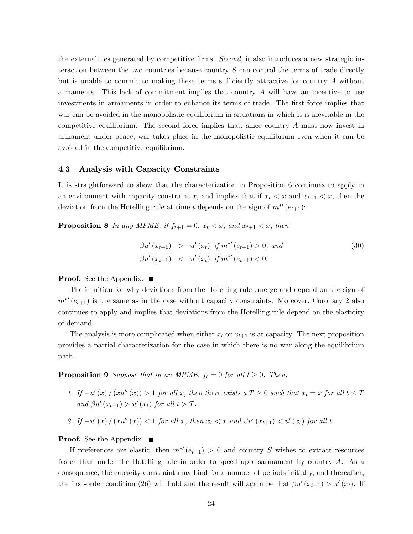the externalities generated by competitive firms. Second, it also introduces a new strategic interaction between the two countries because country  $S$  can control the terms of trade directly but is unable to commit to making these terms sufficiently attractive for country  $A$  without armaments. This lack of commitment implies that country  $A$  will have an incentive to use investments in armaments in order to enhance its terms of trade. The first force implies that war can be avoided in the monopolistic equilibrium in situations in which it is inevitable in the competitive equilibrium. The second force implies that, since country A must now invest in armament under peace, war takes place in the monopolistic equilibrium even when it can be avoided in the competitive equilibrium.

#### 4.3 Analysis with Capacity Constraints

It is straightforward to show that the characterization in Proposition 6 continues to apply in an environment with capacity constraint  $\overline{x}$ , and implies that if  $x_t < \overline{x}$  and  $x_{t+1} < \overline{x}$ , then the deviation from the Hotelling rule at time t depends on the sign of  $m^{*'}(e_{t+1})$ :

**Proposition 8** In any MPME, if  $f_{t+1} = 0$ ,  $x_t < \overline{x}$ , and  $x_{t+1} < \overline{x}$ , then

$$
\beta u'(x_{t+1}) > u'(x_t) \text{ if } m^{*'}(e_{t+1}) > 0, \text{ and}
$$
  
\n
$$
\beta u'(x_{t+1}) < u'(x_t) \text{ if } m^{*'}(e_{t+1}) < 0.
$$
\n(30)

**Proof.** See the Appendix. ■

The intuition for why deviations from the Hotelling rule emerge and depend on the sign of  $m^{*'}(e_{t+1})$  is the same as in the case without capacity constraints. Moreover, Corollary 2 also continues to apply and implies that deviations from the Hotelling rule depend on the elasticity of demand.

The analysis is more complicated when either  $x_t$  or  $x_{t+1}$  is at capacity. The next proposition provides a partial characterization for the case in which there is no war along the equilibrium path.

**Proposition 9** Suppose that in an MPME,  $f_t = 0$  for all  $t \ge 0$ . Then:

- 1. If  $-u'(x)/(x u''(x)) > 1$  for all x, then there exists a  $T \geq 0$  such that  $x_t = \overline{x}$  for all  $t \leq T$ and  $\beta u'(x_{t+1}) > u'(x_t)$  for all  $t > T$ .
- 2. If  $-u'(x)/(x u''(x)) < 1$  for all x, then  $x_t < \overline{x}$  and  $\beta u'(x_{t+1}) < u'(x_t)$  for all t.

#### **Proof.** See the Appendix. ■

If preferences are elastic, then  $m^{*'}(e_{t+1}) > 0$  and country S wishes to extract resources faster than under the Hotelling rule in order to speed up disarmament by country A. As a consequence, the capacity constraint may bind for a number of periods initially, and thereafter, the first-order condition (26) will hold and the result will again be that  $\beta u'(x_{t+1}) > u'(x_t)$ . If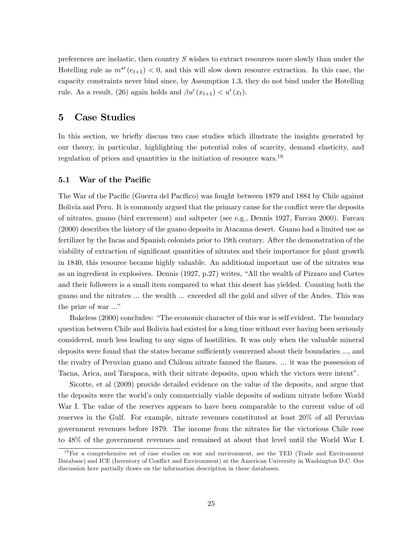preferences are inelastic, then country  $S$  wishes to extract resources more slowly than under the Hotelling rule as  $m^{*'}(e_{t+1}) < 0$ , and this will slow down resource extraction. In this case, the capacity constraints never bind since, by Assumption 1.3, they do not bind under the Hotelling rule. As a result, (26) again holds and  $\beta u'(x_{t+1}) < u'(x_t)$ .

# 5 Case Studies

In this section, we briefly discuss two case studies which illustrate the insights generated by our theory, in particular, highlighting the potential roles of scarcity, demand elasticity, and regulation of prices and quantities in the initiation of resource wars.<sup>19</sup>

#### 5.1 War of the Pacific

The War of the Pacific (Guerra del Pacífico) was fought between 1879 and 1884 by Chile against Bolivia and Peru. It is commonly argued that the primary cause for the conflict were the deposits of nitrates, guano (bird excrement) and saltpeter (see e.g., Dennis 1927, Farcau 2000). Farcau (2000) describes the history of the guano deposits in Atacama desert. Guano had a limited use as fertilizer by the Incas and Spanish colonists prior to 19th century. After the demonstration of the viability of extraction of significant quantities of nitrates and their importance for plant growth in 1840, this resource became highly valuable. An additional important use of the nitrates was as an ingredient in explosives. Dennis  $(1927, p.27)$  writes, "All the wealth of Pizzaro and Cortes and their followers is a small item compared to what this desert has yielded. Counting both the guano and the nitrates ... the wealth ... exceeded all the gold and silver of the Andes. This was the prize of war ..."

Bakeless (2000) concludes: "The economic character of this war is self evident. The boundary question between Chile and Bolivia had existed for a long time without ever having been seriously considered, much less leading to any signs of hostilities. It was only when the valuable mineral deposits were found that the states became sufficiently concerned about their boundaries ..., and the rivalry of Peruvian guano and Chilean nitrate fanned the flames. ... it was the possession of Tacna, Arica, and Tarapaca, with their nitrate deposits, upon which the victors were intentî.

Sicotte, et al (2009) provide detailed evidence on the value of the deposits, and argue that the deposits were the world's only commercially viable deposits of sodium nitrate before World War I. The value of the reserves appears to have been comparable to the current value of oil reserves in the Gulf. For example, nitrate revenues constituted at least 20% of all Peruvian government revenues before 1879. The income from the nitrates for the victorious Chile rose to 48% of the government revenues and remained at about that level until the World War I.

 $19$ For a comprehensive set of case studies on war and environment, see the TED (Trade and Environment Database) and ICE (Inventory of Conflict and Environment) at the American University in Washington D.C. Our discussion here partially draws on the information description in these databases.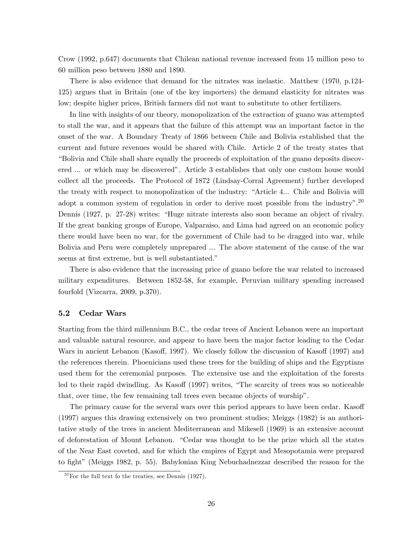Crow (1992, p.647) documents that Chilean national revenue increased from 15 million peso to 60 million peso between 1880 and 1890.

There is also evidence that demand for the nitrates was inelastic. Matthew (1970, p.124- 125) argues that in Britain (one of the key importers) the demand elasticity for nitrates was low; despite higher prices, British farmers did not want to substitute to other fertilizers.

In line with insights of our theory, monopolization of the extraction of guano was attempted to stall the war, and it appears that the failure of this attempt was an important factor in the onset of the war. A Boundary Treaty of 1866 between Chile and Bolivia established that the current and future revenues would be shared with Chile. Article 2 of the treaty states that ìBolivia and Chile shall share equally the proceeds of exploitation of the guano deposits discovered ... or which may be discovered". Article 3 establishes that only one custom house would collect all the proceeds. The Protocol of 1872 (Lindsay-Corral Agreement) further developed the treaty with respect to monopolization of the industry: "Article 4... Chile and Bolivia will adopt a common system of regulation in order to derive most possible from the industry".<sup>20</sup> Dennis (1927, p. 27-28) writes: "Huge nitrate interests also soon became an object of rivalry. If the great banking groups of Europe, Valparaiso, and Lima had agreed on an economic policy there would have been no war, for the government of Chile had to be dragged into war, while Bolivia and Peru were completely unprepared ... The above statement of the cause of the war seems at first extreme, but is well substantiated."

There is also evidence that the increasing price of guano before the war related to increased military expenditures. Between 1852-58, for example, Peruvian military spending increased fourfold (Vizcarra, 2009, p.370).

#### 5.2 Cedar Wars

Starting from the third millennium B.C., the cedar trees of Ancient Lebanon were an important and valuable natural resource, and appear to have been the major factor leading to the Cedar Wars in ancient Lebanon (Kasoff, 1997). We closely follow the discussion of Kasoff (1997) and the references therein. Phoenicians used these trees for the building of ships and the Egyptians used them for the ceremonial purposes. The extensive use and the exploitation of the forests led to their rapid dwindling. As Kasoff (1997) writes, "The scarcity of trees was so noticeable that, over time, the few remaining tall trees even became objects of worshipî.

The primary cause for the several wars over this period appears to have been cedar. Kasoff (1997) argues this drawing extensively on two prominent studies; Meiggs (1982) is an authoritative study of the trees in ancient Mediterranean and Mikesell (1969) is an extensive account of deforestation of Mount Lebanon. "Cedar was thought to be the prize which all the states of the Near East coveted, and for which the empires of Egypt and Mesopotamia were prepared to fight" (Meiggs 1982, p. 55). Babylonian King Nebuchadnezzar described the reason for the

 $20$  For the full text fo the treaties, see Dennis (1927).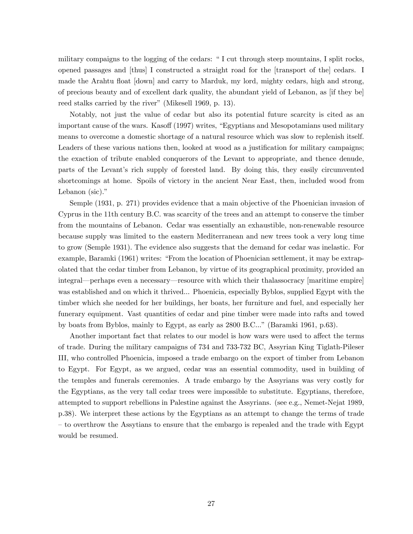military compaigns to the logging of the cedars: "I cut through steep mountains, I split rocks, opened passages and [thus] I constructed a straight road for the [transport of the] cedars. I made the Arahtu float [down] and carry to Marduk, my lord, mighty cedars, high and strong, of precious beauty and of excellent dark quality, the abundant yield of Lebanon, as [if they be] reed stalks carried by the river" (Mikesell 1969, p. 13).

Notably, not just the value of cedar but also its potential future scarcity is cited as an important cause of the wars. Kasoff (1997) writes, "Egyptians and Mesopotamians used military means to overcome a domestic shortage of a natural resource which was slow to replenish itself. Leaders of these various nations then, looked at wood as a justification for military campaigns; the exaction of tribute enabled conquerors of the Levant to appropriate, and thence denude, parts of the Levantís rich supply of forested land. By doing this, they easily circumvented shortcomings at home. Spoils of victory in the ancient Near East, then, included wood from Lebanon (sic)."

Semple (1931, p. 271) provides evidence that a main objective of the Phoenician invasion of Cyprus in the 11th century B.C. was scarcity of the trees and an attempt to conserve the timber from the mountains of Lebanon. Cedar was essentially an exhaustible, non-renewable resource because supply was limited to the eastern Mediterranean and new trees took a very long time to grow (Semple 1931). The evidence also suggests that the demand for cedar was inelastic. For example, Baramki (1961) writes: "From the location of Phoenician settlement, it may be extrapolated that the cedar timber from Lebanon, by virtue of its geographical proximity, provided an integral—perhaps even a necessary—resource with which their thalassocracy [maritime empire] was established and on which it thrived... Phoenicia, especially Byblos, supplied Egypt with the timber which she needed for her buildings, her boats, her furniture and fuel, and especially her funerary equipment. Vast quantities of cedar and pine timber were made into rafts and towed by boats from Byblos, mainly to Egypt, as early as 2800 B.C...î (Baramki 1961, p.63).

Another important fact that relates to our model is how wars were used to affect the terms of trade. During the military campaigns of 734 and 733-732 BC, Assyrian King Tiglath-Pileser III, who controlled Phoenicia, imposed a trade embargo on the export of timber from Lebanon to Egypt. For Egypt, as we argued, cedar was an essential commodity, used in building of the temples and funerals ceremonies. A trade embargo by the Assyrians was very costly for the Egyptians, as the very tall cedar trees were impossible to substitute. Egyptians, therefore, attempted to support rebellions in Palestine against the Assyrians. (see e.g., Nemet-Nejat 1989, p.38). We interpret these actions by the Egyptians as an attempt to change the terms of trade  $\sim$  to overthrow the Assytians to ensure that the embargo is repealed and the trade with Egypt would be resumed.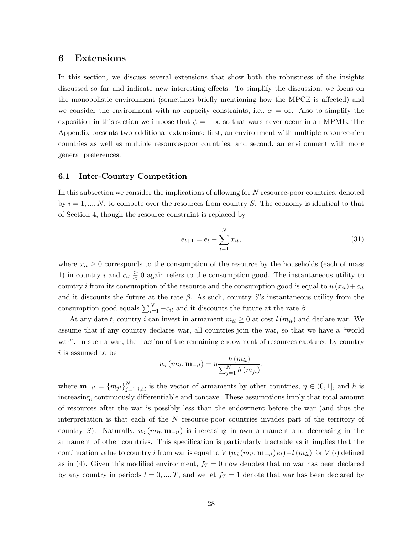# 6 Extensions

In this section, we discuss several extensions that show both the robustness of the insights discussed so far and indicate new interesting effects. To simplify the discussion, we focus on the monopolistic environment (sometimes briefly mentioning how the MPCE is affected) and we consider the environment with no capacity constraints, i.e.,  $\bar{x} = \infty$ . Also to simplify the exposition in this section we impose that  $\psi = -\infty$  so that wars never occur in an MPME. The Appendix presents two additional extensions: first, an environment with multiple resource-rich countries as well as multiple resource-poor countries, and second, an environment with more general preferences.

#### 6.1 Inter-Country Competition

In this subsection we consider the implications of allowing for N resource-poor countries, denoted by  $i = 1, ..., N$ , to compete over the resources from country S. The economy is identical to that of Section 4, though the resource constraint is replaced by

$$
e_{t+1} = e_t - \sum_{i=1}^{N} x_{it},
$$
\n(31)

where  $x_{it} \geq 0$  corresponds to the consumption of the resource by the households (each of mass 1) in country i and  $c_{it} \geq 0$  again refers to the consumption good. The instantaneous utility to country i from its consumption of the resource and the consumption good is equal to  $u(x_{it})+c_{it}$ and it discounts the future at the rate  $\beta$ . As such, country S's instantaneous utility from the consumption good equals  $\sum_{i=1}^{N} -c_{it}$  and it discounts the future at the rate  $\beta$ .

At any date t, country i can invest in armament  $m_{it} \geq 0$  at cost  $l(m_{it})$  and declare war. We assume that if any country declares war, all countries join the war, so that we have a "world" war". In such a war, the fraction of the remaining endowment of resources captured by country i is assumed to be

$$
w_i(m_{it}, \mathbf{m}_{-it}) = \eta \frac{h(m_{it})}{\sum_{j=1}^{N} h(m_{jt})},
$$

where  $\mathbf{m}_{-it} = \{m_{jt}\}_{j=1}^N$  $j=1, j\neq i$  is the vector of armaments by other countries,  $\eta \in (0, 1]$ , and h is increasing, continuously differentiable and concave. These assumptions imply that total amount of resources after the war is possibly less than the endowment before the war (and thus the interpretation is that each of the N resource-poor countries invades part of the territory of country S). Naturally,  $w_i$  ( $m_{it}$ ,  $m_{-it}$ ) is increasing in own armament and decreasing in the armament of other countries. This specification is particularly tractable as it implies that the continuation value to country i from war is equal to  $V(w_i(m_{it}, \mathbf{m}_{-it}) e_t) - l(m_{it})$  for  $V(\cdot)$  defined as in (4). Given this modified environment,  $f_T = 0$  now denotes that no war has been declared by any country in periods  $t = 0, ..., T$ , and we let  $f_T = 1$  denote that war has been declared by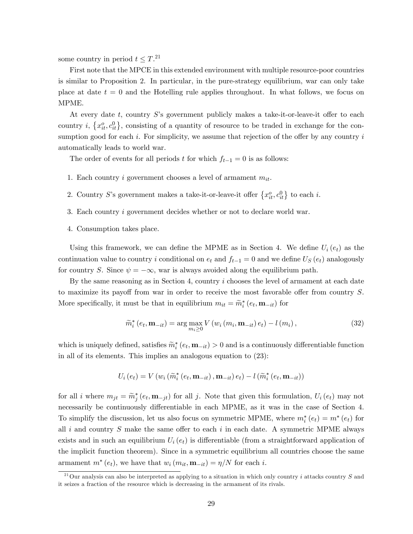some country in period  $t \leq T$ <sup>21</sup>

First note that the MPCE in this extended environment with multiple resource-poor countries is similar to Proposition 2. In particular, in the pure-strategy equilibrium, war can only take place at date  $t = 0$  and the Hotelling rule applies throughout. In what follows, we focus on MPME.

At every date t, country  $S$ 's government publicly makes a take-it-or-leave-it offer to each country *i*,  $\{x_{it}^o, c_{it}^0\}$ , consisting of a quantity of resource to be traded in exchange for the consumption good for each i. For simplicity, we assume that rejection of the offer by any country  $i$ automatically leads to world war.

The order of events for all periods t for which  $f_{t-1} = 0$  is as follows:

- 1. Each country i government chooses a level of armament  $m_{it}$ .
- 2. Country S's government makes a take-it-or-leave-it offer  $\{x_{it}^o, c_{it}^0\}$  to each i.
- 3. Each country i government decides whether or not to declare world war.
- 4. Consumption takes place.

Using this framework, we can define the MPME as in Section 4. We define  $U_i(e_t)$  as the continuation value to country i conditional on  $e_t$  and  $f_{t-1} = 0$  and we define  $U_s(e_t)$  analogously for country S. Since  $\psi = -\infty$ , war is always avoided along the equilibrium path.

By the same reasoning as in Section 4, country i chooses the level of armament at each date to maximize its payoff from war in order to receive the most favorable offer from country  $S$ . More specifically, it must be that in equilibrium  $m_{it} = \widetilde{m}_{i}^{*} (e_{t}, \mathbf{m}_{-it})$  for

$$
\widetilde{m}_{i}^{*}\left(e_{t}, \mathbf{m}_{-it}\right) = \arg\max_{m_{i} \geq 0} V\left(w_{i}\left(m_{i}, \mathbf{m}_{-it}\right) e_{t}\right) - l\left(m_{i}\right),\tag{32}
$$

which is uniquely defined, satisfies  $\widetilde{m}_i^*(e_t, \mathbf{m}_{-it}) > 0$  and is a continuously differentiable function in all of its elements. This implies an analogous equation to (23):

$$
U_{i}(e_{t}) = V(w_{i}(\widetilde{m}_{i}^{*}(e_{t}, \mathbf{m}_{-it}), \mathbf{m}_{-it}) e_{t}) - l(\widetilde{m}_{i}^{*}(e_{t}, \mathbf{m}_{-it}))
$$

for all i where  $m_{jt} = \widetilde{m}_j^*(e_t, \mathbf{m}_{-jt})$  for all j. Note that given this formulation,  $U_i(e_t)$  may not necessarily be continuously differentiable in each MPME, as it was in the case of Section 4. To simplify the discussion, let us also focus on symmetric MPME, where  $m_i^*(e_t) = m^*(e_t)$  for all i and country  $S$  make the same offer to each i in each date. A symmetric MPME always exists and in such an equilibrium  $U_i(e_t)$  is differentiable (from a straightforward application of the implicit function theorem). Since in a symmetric equilibrium all countries choose the same armament  $m^*(e_t)$ , we have that  $w_i(m_{it}, \mathbf{m}_{-it}) = \eta/N$  for each *i*.

<sup>&</sup>lt;sup>21</sup>Our analysis can also be interpreted as applying to a situation in which only country i attacks country S and it seizes a fraction of the resource which is decreasing in the armament of its rivals.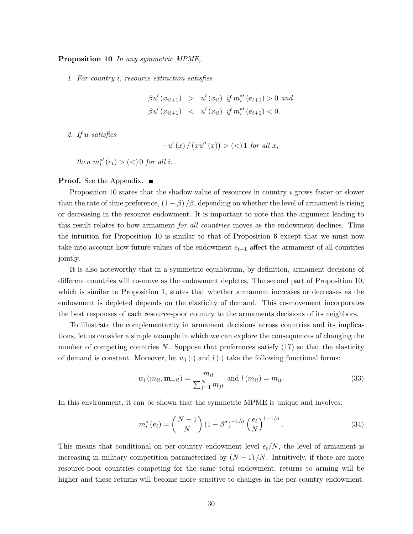#### Proposition 10 In any symmetric MPME,

1. For country  $i$ , resource extraction satisfies

$$
\beta u'(x_{it+1}) > u'(x_{it}) \text{ if } m_i^{*'}(e_{t+1}) > 0 \text{ and}
$$
  

$$
\beta u'(x_{it+1}) < u'(x_{it}) \text{ if } m_i^{*'}(e_{t+1}) < 0.
$$

2. If  $u$  satisfies

$$
-u'\left(x\right)/\left(xu''\left(x\right)\right)>(<)1\ for\ all\ x,
$$

then  $m_i^{*'}(e_t) > (<) 0$  for all i.

#### **Proof.** See the Appendix.  $\blacksquare$

Proposition 10 states that the shadow value of resources in country i grows faster or slower than the rate of time preference,  $(1 - \beta)/\beta$ , depending on whether the level of armament is rising or decreasing in the resource endowment. It is important to note that the argument leading to this result relates to how armament *for all countries* moves as the endowment declines. Thus the intuition for Proposition 10 is similar to that of Proposition 6 except that we must now take into account how future values of the endowment  $e_{t+1}$  affect the armament of all countries jointly.

It is also noteworthy that in a symmetric equilibrium, by definition, armament decisions of different countries will co-move as the endowment depletes. The second part of Proposition 10, which is similar to Proposition 1, states that whether armament increases or decreases as the endowment is depleted depends on the elasticity of demand. This co-movement incorporates the best responses of each resource-poor country to the armaments decisions of its neighbors.

To illustrate the complementarity in armament decisions across countries and its implications, let us consider a simple example in which we can explore the consequences of changing the number of competing countries  $N$ . Suppose that preferences satisfy (17) so that the elasticity of demand is constant. Moreover, let  $w_i(\cdot)$  and  $l(\cdot)$  take the following functional forms:

$$
w_i(m_{it}, \mathbf{m}_{-it}) = \frac{m_{it}}{\sum_{j=1}^{N} m_{jt}} \text{ and } l(m_{it}) = m_{it}.
$$
 (33)

In this environment, it can be shown that the symmetric MPME is unique and involves:

$$
m_i^*(e_t) = \left(\frac{N-1}{N}\right) \left(1 - \beta^{\sigma}\right)^{-1/\sigma} \left(\frac{e_t}{N}\right)^{1-1/\sigma}.
$$
\n(34)

This means that conditional on per-country endowment level  $e_t/N$ , the level of armament is increasing in military competition parameterized by  $(N - 1)/N$ . Intuitively, if there are more resource-poor countries competing for the same total endowment, returns to arming will be higher and these returns will become more sensitive to changes in the per-country endowment.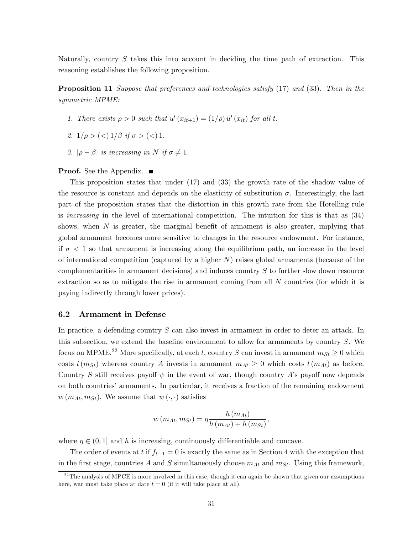Naturally, country S takes this into account in deciding the time path of extraction. This reasoning establishes the following proposition.

Proposition 11 Suppose that preferences and technologies satisfy (17) and (33). Then in the symmetric MPME:

- 1. There exists  $\rho > 0$  such that  $u'(x_{it+1}) = (1/\rho) u'(x_{it})$  for all t.
- 2.  $1/\rho > \frac{c}{1/\beta}$  if  $\sigma > \frac{c}{1}$ .
- 3.  $|\rho \beta|$  is increasing in N if  $\sigma \neq 1$ .

#### **Proof.** See the Appendix. ■

This proposition states that under (17) and (33) the growth rate of the shadow value of the resource is constant and depends on the elasticity of substitution  $\sigma$ . Interestingly, the last part of the proposition states that the distortion in this growth rate from the Hotelling rule is increasing in the level of international competition. The intuition for this is that as (34) shows, when  $N$  is greater, the marginal benefit of armament is also greater, implying that global armament becomes more sensitive to changes in the resource endowment. For instance, if  $\sigma$  < 1 so that armament is increasing along the equilibrium path, an increase in the level of international competition (captured by a higher  $N$ ) raises global armaments (because of the complementarities in armament decisions) and induces country S to further slow down resource extraction so as to mitigate the rise in armament coming from all N countries (for which it is paying indirectly through lower prices).

#### 6.2 Armament in Defense

In practice, a defending country S can also invest in armament in order to deter an attack. In this subsection, we extend the baseline environment to allow for armaments by country S. We focus on MPME.<sup>22</sup> More specifically, at each t, country S can invest in armament  $m_{St} \geq 0$  which costs  $l(m_{St})$  whereas country A invests in armament  $m_{At} \geq 0$  which costs  $l(m_{At})$  as before. Country S still receives payoff  $\psi$  in the event of war, though country A's payoff now depends on both countries' armaments. In particular, it receives a fraction of the remaining endowment  $w(m_{At}, m_{St})$ . We assume that  $w(\cdot, \cdot)$  satisfies

$$
w(m_{At}, m_{St}) = \eta \frac{h(m_{At})}{h(m_{At}) + h(m_{St})},
$$

where  $\eta \in (0, 1]$  and h is increasing, continuously differentiable and concave.

The order of events at t if  $f_{t-1} = 0$  is exactly the same as in Section 4 with the exception that in the first stage, countries A and S simultaneously choose  $m_{At}$  and  $m_{St}$ . Using this framework,

 $^{22}$ The analysis of MPCE is more involved in this case, though it can again be shown that given our assumptions here, war must take place at date  $t = 0$  (if it will take place at all).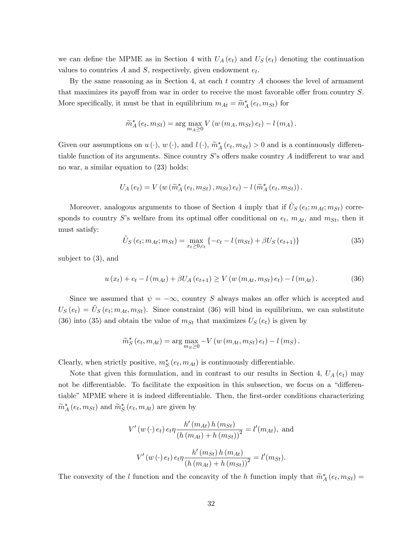we can define the MPME as in Section 4 with  $U_A(e_t)$  and  $U_S(e_t)$  denoting the continuation values to countries  $A$  and  $S$ , respectively, given endowment  $e_t$ .

By the same reasoning as in Section 4, at each  $t$  country  $A$  chooses the level of armament that maximizes its payoff from war in order to receive the most favorable offer from country  $S$ . More specifically, it must be that in equilibrium  $m_{At} = \widetilde{m}_{A}^{*} (e_t, m_{St})$  for

$$
\widetilde{m}_A^* (e_t, m_{St}) = \arg \max_{m_A \geq 0} V(w (m_A, m_{St}) e_t) - l(m_A).
$$

Given our assumptions on  $u(\cdot)$ ,  $w(\cdot)$ , and  $l(\cdot)$ ,  $\widetilde{m}_A^*(e_t, m_{St}) > 0$  and is a continuously differentiable function of its arguments. Since country  $S$ 's offers make country  $A$  indifferent to war and no war, a similar equation to (23) holds:

$$
U_A(e_t) = V(w(\widetilde{m}_A^*(e_t, m_{St}), m_{St}) e_t) - l(\widetilde{m}_A^*(e_t, m_{St})).
$$

Moreover, analogous arguments to those of Section 4 imply that if  $\tilde{U}_{S}(e_t; m_{At}; m_{St})$  corresponds to country S's welfare from its optimal offer conditional on  $e_t$ ,  $m_{At}$ , and  $m_{St}$ , then it must satisfy:

$$
\tilde{U}_{S}(e_{t}; m_{At}; m_{St}) = \max_{x_{t} \ge 0, c_{t}} \{-c_{t} - l(m_{St}) + \beta U_{S}(e_{t+1})\}
$$
\n(35)

subject to (3), and

$$
u(x_t) + c_t - l(m_{At}) + \beta U_A(e_{t+1}) \ge V(w(m_{At}, m_{St})e_t) - l(m_{At}).
$$
\n(36)

Since we assumed that  $\psi = -\infty$ , country S always makes an offer which is accepted and  $U_{S}(e_{t}) = \tilde{U}_{S}(e_{t}; m_{At}, m_{St})$ . Since constraint (36) will bind in equilibrium, we can substitute (36) into (35) and obtain the value of  $m_{St}$  that maximizes  $U_S(e_t)$  is given by

$$
\widetilde{m}_{S}^{*}(e_{t}, m_{At}) = \arg \max_{m_{S} \geq 0} -V(w(m_{At}, m_{St}) e_{t}) - l(m_{S}).
$$

Clearly, when strictly positive,  $m_S^*(e_t, m_{At})$  is continuously differentiable.

Note that given this formulation, and in contrast to our results in Section 4,  $U_A(e_t)$  may not be differentiable. To facilitate the exposition in this subsection, we focus on a "differentiable" MPME where it is indeed differentiable. Then, the first-order conditions characterizing  $\widetilde{m}_{A}^{*}\left( e_{t},m_{St}\right)$  and  $\widetilde{m}_{S}^{*}\left( e_{t},m_{At}\right)$  are given by

$$
V'(w(\cdot) e_t) e_t \eta \frac{h'(m_{At}) h(m_{St})}{(h(m_{At}) + h(m_{St}))^2} = l'(m_{At}), \text{ and}
$$

$$
V'(w(\cdot) e_t) e_t \eta \frac{h'(m_{St}) h(m_{At})}{(h(m_{At}) + h(m_{St}))^2} = l'(m_{St}).
$$

The convexity of the l function and the concavity of the h function imply that  $\widetilde{m}_{A}^{*}(e_t, m_{St}) =$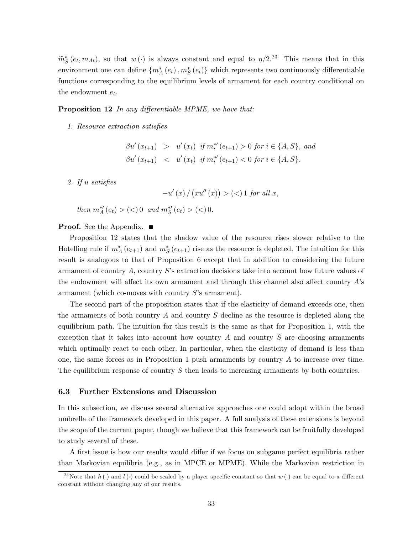$\widetilde{m}_{S}^{*}(e_{t},m_{At}),$  so that  $w(\cdot)$  is always constant and equal to  $\eta/2^{23}$  This means that in this environment one can define  $\{m_A^*(e_t), m_S^*(e_t)\}$  which represents two continuously differentiable functions corresponding to the equilibrium levels of armament for each country conditional on the endowment  $e_t$ .

**Proposition 12** In any differentiable MPME, we have that:

1. Resource extraction satisfies

 $\beta u'(x_{t+1}) > u'(x_t)$  if  $m_i^{*'}(e_{t+1}) > 0$  for  $i \in \{A, S\}$ , and  $\beta u'(x_{t+1}) \leq u'(x_t)$  if  $m_i^{*\prime}(e_{t+1}) < 0$  for  $i \in \{A, S\}.$ 

2. If  $u$  satisfies

 $-u'(x) / (xu''(x)) > (<1$  for all x,

then  $m_A^{*\prime}(e_t) > (\leq) 0$  and  $m_S^{*\prime}(e_t) > (\leq) 0$ .

**Proof.** See the Appendix.  $\blacksquare$ 

Proposition 12 states that the shadow value of the resource rises slower relative to the Hotelling rule if  $m_A^*(e_{t+1})$  and  $m_S^*(e_{t+1})$  rise as the resource is depleted. The intuition for this result is analogous to that of Proposition 6 except that in addition to considering the future armament of country  $A$ , country  $S$ 's extraction decisions take into account how future values of the endowment will affect its own armament and through this channel also affect country  $\vec{A}$ 's armament (which co-moves with country  $S$ 's armament).

The second part of the proposition states that if the elasticity of demand exceeds one, then the armaments of both country A and country S decline as the resource is depleted along the equilibrium path. The intuition for this result is the same as that for Proposition 1, with the exception that it takes into account how country  $A$  and country  $S$  are choosing armaments which optimally react to each other. In particular, when the elasticity of demand is less than one, the same forces as in Proposition 1 push armaments by country  $A$  to increase over time. The equilibrium response of country S then leads to increasing armaments by both countries.

#### 6.3 Further Extensions and Discussion

In this subsection, we discuss several alternative approaches one could adopt within the broad umbrella of the framework developed in this paper. A full analysis of these extensions is beyond the scope of the current paper, though we believe that this framework can be fruitfully developed to study several of these.

A first issue is how our results would differ if we focus on subgame perfect equilibria rather than Markovian equilibria (e.g., as in MPCE or MPME). While the Markovian restriction in

<sup>&</sup>lt;sup>23</sup>Note that  $h(\cdot)$  and  $l(\cdot)$  could be scaled by a player specific constant so that  $w(\cdot)$  can be equal to a different constant without changing any of our results.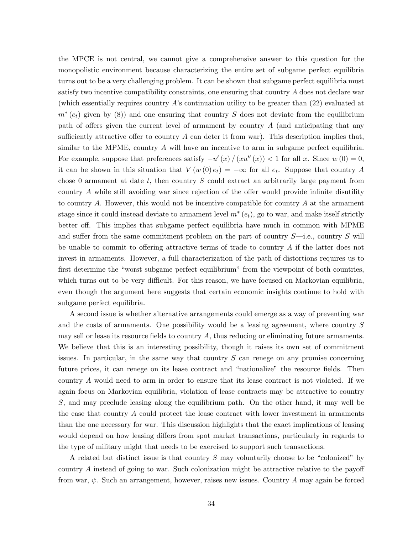the MPCE is not central, we cannot give a comprehensive answer to this question for the monopolistic environment because characterizing the entire set of subgame perfect equilibria turns out to be a very challenging problem. It can be shown that subgame perfect equilibria must satisfy two incentive compatibility constraints, one ensuring that country A does not declare war (which essentially requires country  $A$ 's continuation utility to be greater than  $(22)$  evaluated at  $m^*(e_t)$  given by (8)) and one ensuring that country S does not deviate from the equilibrium path of offers given the current level of armament by country  $A$  (and anticipating that any sufficiently attractive offer to country A can deter it from war). This description implies that, similar to the MPME, country A will have an incentive to arm in subgame perfect equilibria. For example, suppose that preferences satisfy  $-u'(x)/(xu''(x)) < 1$  for all x. Since  $w(0) = 0$ , it can be shown in this situation that  $V(w(0) e_t) = -\infty$  for all  $e_t$ . Suppose that country A chose 0 armament at date  $t$ , then country  $S$  could extract an arbitrarily large payment from country  $A$  while still avoiding war since rejection of the offer would provide infinite disutility to country A. However, this would not be incentive compatible for country  $A$  at the armament stage since it could instead deviate to armament level  $m^*(e_t)$ , go to war, and make itself strictly better off. This implies that subgame perfect equilibria have much in common with MPME and suffer from the same commitment problem on the part of country  $S$ —i.e., country S will be unable to commit to offering attractive terms of trade to country  $A$  if the latter does not invest in armaments. However, a full characterization of the path of distortions requires us to first determine the "worst subgame perfect equilibrium" from the viewpoint of both countries, which turns out to be very difficult. For this reason, we have focused on Markovian equilibria, even though the argument here suggests that certain economic insights continue to hold with subgame perfect equilibria.

A second issue is whether alternative arrangements could emerge as a way of preventing war and the costs of armaments. One possibility would be a leasing agreement, where country S may sell or lease its resource fields to country  $A$ , thus reducing or eliminating future armaments. We believe that this is an interesting possibility, though it raises its own set of commitment issues. In particular, in the same way that country S can renege on any promise concerning future prices, it can renege on its lease contract and "nationalize" the resource fields. Then country A would need to arm in order to ensure that its lease contract is not violated. If we again focus on Markovian equilibria, violation of lease contracts may be attractive to country S, and may preclude leasing along the equilibrium path. On the other hand, it may well be the case that country A could protect the lease contract with lower investment in armaments than the one necessary for war. This discussion highlights that the exact implications of leasing would depend on how leasing differs from spot market transactions, particularly in regards to the type of military might that needs to be exercised to support such transactions.

A related but distinct issue is that country  $S$  may voluntarily choose to be "colonized" by country A instead of going to war. Such colonization might be attractive relative to the payoff from war,  $\psi$ . Such an arrangement, however, raises new issues. Country A may again be forced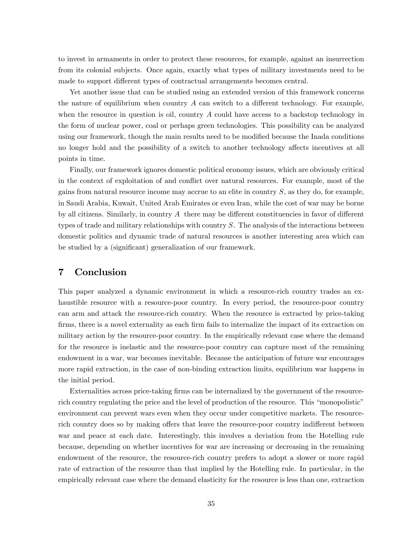to invest in armaments in order to protect these resources, for example, against an insurrection from its colonial subjects. Once again, exactly what types of military investments need to be made to support different types of contractual arrangements becomes central.

Yet another issue that can be studied using an extended version of this framework concerns the nature of equilibrium when country  $A$  can switch to a different technology. For example, when the resource in question is oil, country  $A$  could have access to a backstop technology in the form of nuclear power, coal or perhaps green technologies. This possibility can be analyzed using our framework, though the main results need to be modified because the Inada conditions no longer hold and the possibility of a switch to another technology affects incentives at all points in time.

Finally, our framework ignores domestic political economy issues, which are obviously critical in the context of exploitation of and conflict over natural resources. For example, most of the gains from natural resource income may accrue to an elite in country  $S$ , as they do, for example, in Saudi Arabia, Kuwait, United Arab Emirates or even Iran, while the cost of war may be borne by all citizens. Similarly, in country  $A$  there may be different constituencies in favor of different types of trade and military relationships with country S. The analysis of the interactions between domestic politics and dynamic trade of natural resources is another interesting area which can be studied by a (significant) generalization of our framework.

# 7 Conclusion

This paper analyzed a dynamic environment in which a resource-rich country trades an exhaustible resource with a resource-poor country. In every period, the resource-poor country can arm and attack the resource-rich country. When the resource is extracted by price-taking firms, there is a novel externality as each firm fails to internalize the impact of its extraction on military action by the resource-poor country. In the empirically relevant case where the demand for the resource is inelastic and the resource-poor country can capture most of the remaining endowment in a war, war becomes inevitable. Because the anticipation of future war encourages more rapid extraction, in the case of non-binding extraction limits, equilibrium war happens in the initial period.

Externalities across price-taking firms can be internalized by the government of the resourcerich country regulating the price and the level of production of the resource. This "monopolistic" environment can prevent wars even when they occur under competitive markets. The resourcerich country does so by making offers that leave the resource-poor country indifferent between war and peace at each date. Interestingly, this involves a deviation from the Hotelling rule because, depending on whether incentives for war are increasing or decreasing in the remaining endowment of the resource, the resource-rich country prefers to adopt a slower or more rapid rate of extraction of the resource than that implied by the Hotelling rule. In particular, in the empirically relevant case where the demand elasticity for the resource is less than one, extraction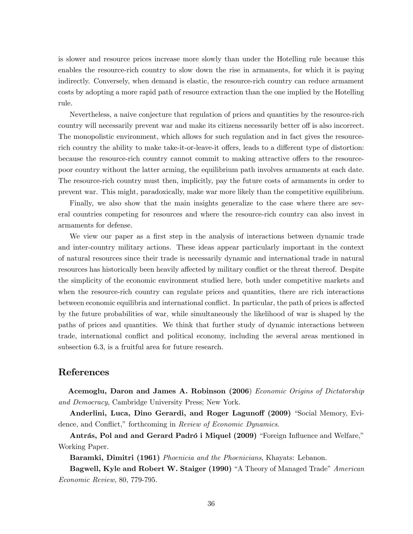is slower and resource prices increase more slowly than under the Hotelling rule because this enables the resource-rich country to slow down the rise in armaments, for which it is paying indirectly. Conversely, when demand is elastic, the resource-rich country can reduce armament costs by adopting a more rapid path of resource extraction than the one implied by the Hotelling rule.

Nevertheless, a naive conjecture that regulation of prices and quantities by the resource-rich country will necessarily prevent war and make its citizens necessarily better off is also incorrect. The monopolistic environment, which allows for such regulation and in fact gives the resourcerich country the ability to make take-it-or-leave-it offers, leads to a different type of distortion: because the resource-rich country cannot commit to making attractive offers to the resourcepoor country without the latter arming, the equilibrium path involves armaments at each date. The resource-rich country must then, implicitly, pay the future costs of armaments in order to prevent war. This might, paradoxically, make war more likely than the competitive equilibrium.

Finally, we also show that the main insights generalize to the case where there are several countries competing for resources and where the resource-rich country can also invest in armaments for defense.

We view our paper as a first step in the analysis of interactions between dynamic trade and inter-country military actions. These ideas appear particularly important in the context of natural resources since their trade is necessarily dynamic and international trade in natural resources has historically been heavily affected by military conflict or the threat thereof. Despite the simplicity of the economic environment studied here, both under competitive markets and when the resource-rich country can regulate prices and quantities, there are rich interactions between economic equilibria and international conflict. In particular, the path of prices is affected by the future probabilities of war, while simultaneously the likelihood of war is shaped by the paths of prices and quantities. We think that further study of dynamic interactions between trade, international conflict and political economy, including the several areas mentioned in subsection 6.3, is a fruitful area for future research.

# References

Acemoglu, Daron and James A. Robinson (2006) Economic Origins of Dictatorship and Democracy, Cambridge University Press; New York.

Anderlini, Luca, Dino Gerardi, and Roger Lagunoff (2009) "Social Memory, Evidence, and Conflict," forthcoming in Review of Economic Dynamics.

Antrás, Pol and and Gerard Padró i Miquel (2009) "Foreign Influence and Welfare," Working Paper.

Baramki, Dimitri (1961) *Phoenicia and the Phoenicians*, Khayats: Lebanon.

Bagwell, Kyle and Robert W. Staiger (1990) "A Theory of Managed Trade" American Economic Review, 80, 779-795.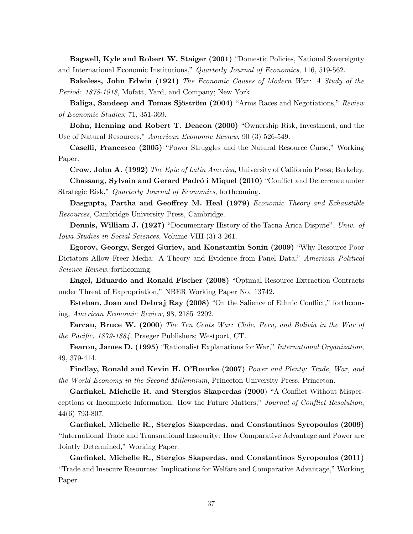Bagwell, Kyle and Robert W. Staiger (2001) "Domestic Policies, National Sovereignty and International Economic Institutions," Quarterly Journal of Economics, 116, 519-562.

Bakeless, John Edwin (1921) The Economic Causes of Modern War: A Study of the Period: 1878-1918, Mofatt, Yard, and Company; New York.

Baliga, Sandeep and Tomas Sjöström (2004) "Arms Races and Negotiations," Review of Economic Studies, 71, 351-369.

Bohn, Henning and Robert T. Deacon (2000) "Ownership Risk, Investment, and the Use of Natural Resources," American Economic Review, 90 (3) 526-549.

Caselli, Francesco (2005) "Power Struggles and the Natural Resource Curse," Working Paper.

Crow, John A. (1992) The Epic of Latin America, University of California Press; Berkeley.

Chassang, Sylvain and Gerard Padró i Miquel (2010) "Conflict and Deterrence under Strategic Risk," Quarterly Journal of Economics, forthcoming.

Dasgupta, Partha and Geoffrey M. Heal (1979) Economic Theory and Exhaustible Resources, Cambridge University Press, Cambridge.

**Dennis, William J. (1927)** "Documentary History of the Tacna-Arica Dispute", Univ. of Iowa Studies in Social Sciences, Volume VIII (3) 3-261.

Egorov, Georgy, Sergei Guriev, and Konstantin Sonin (2009) "Why Resource-Poor Dictators Allow Freer Media: A Theory and Evidence from Panel Data," American Political Science Review, forthcoming.

Engel, Eduardo and Ronald Fischer (2008) "Optimal Resource Extraction Contracts under Threat of Expropriation," NBER Working Paper No. 13742.

Esteban, Joan and Debraj Ray (2008) "On the Salience of Ethnic Conflict," forthcoming, American Economic Review,  $98, 2185-2202$ .

Farcau, Bruce W. (2000) The Ten Cents War: Chile, Peru, and Bolivia in the War of the Pacific, 1879-1884, Praeger Publishers; Westport, CT.

Fearon, James D. (1995) "Rationalist Explanations for War," International Organization, 49, 379-414.

Findlay, Ronald and Kevin H. O'Rourke (2007) Power and Plenty: Trade, War, and the World Economy in the Second Millennium, Princeton University Press, Princeton.

Garfinkel, Michelle R. and Stergios Skaperdas (2000) "A Conflict Without Misperceptions or Incomplete Information: How the Future Matters," Journal of Conflict Resolution, 44(6) 793-807.

Garfinkel, Michelle R., Stergios Skaperdas, and Constantinos Syropoulos (2009) ìInternational Trade and Transnational Insecurity: How Comparative Advantage and Power are Jointly Determined," Working Paper.

Garfinkel, Michelle R., Stergios Skaperdas, and Constantinos Syropoulos (2011) <u><sup>"</sup>Trade and Insecure Resources: Implications for Welfare and Comparative Advantage,</u>" Working Paper.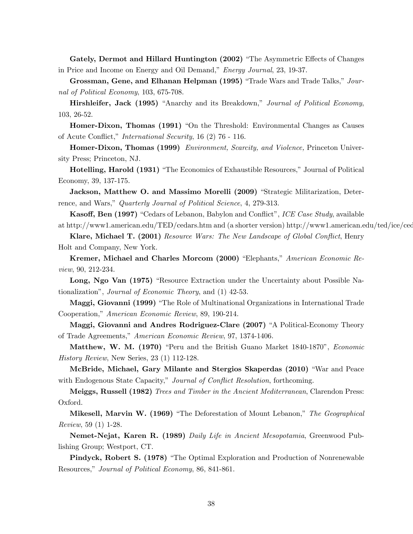Gately, Dermot and Hillard Huntington (2002) "The Asymmetric Effects of Changes in Price and Income on Energy and Oil Demand," Energy Journal, 23, 19-37.

Grossman, Gene, and Elhanan Helpman (1995) "Trade Wars and Trade Talks," Journal of Political Economy, 103, 675-708.

Hirshleifer, Jack (1995) "Anarchy and its Breakdown," Journal of Political Economy, 103, 26-52.

Homer-Dixon, Thomas (1991) "On the Threshold: Environmental Changes as Causes of Acute Conflict," *International Security*, 16 (2) 76 - 116.

Homer-Dixon, Thomas (1999) Environment, Scarcity, and Violence, Princeton University Press; Princeton, NJ.

Hotelling, Harold (1931) "The Economics of Exhaustible Resources," Journal of Political Economy, 39, 137-175.

Jackson, Matthew O. and Massimo Morelli (2009) "Strategic Militarization, Deterrence, and Wars," Quarterly Journal of Political Science, 4, 279-313.

**Kasoff, Ben (1997)** "Cedars of Lebanon, Babylon and Conflict", *ICE Case Study*, available at http://www1.american.edu/TED/cedars.htm and (a shorter version) http://www1.american.edu/ted/ice/ced

Klare, Michael T. (2001) Resource Wars: The New Landscape of Global Conflict, Henry Holt and Company, New York.

Kremer, Michael and Charles Morcom (2000) "Elephants," American Economic Review, 90, 212-234.

Long, Ngo Van (1975) "Resource Extraction under the Uncertainty about Possible Nationalization", *Journal of Economic Theory*, and (1) 42-53.

Maggi, Giovanni (1999) "The Role of Multinational Organizations in International Trade Cooperation," American Economic Review, 89, 190-214.

Maggi, Giovanni and Andres Rodriguez-Clare (2007) "A Political-Economy Theory of Trade Agreements," American Economic Review, 97, 1374-1406.

Matthew, W. M. (1970) "Peru and the British Guano Market 1840-1870", *Economic* History Review, New Series, 23 (1) 112-128.

McBride, Michael, Gary Milante and Stergios Skaperdas (2010) "War and Peace with Endogenous State Capacity," Journal of Conflict Resolution, forthcoming.

Meiggs, Russell (1982) Trees and Timber in the Ancient Mediterranean, Clarendon Press: Oxford.

Mikesell, Marvin W. (1969) "The Deforestation of Mount Lebanon," The Geographical Review, 59 (1) 1-28.

Nemet-Nejat, Karen R. (1989) Daily Life in Ancient Mesopotamia, Greenwood Publishing Group; Westport, CT.

**Pindyck, Robert S. (1978)** "The Optimal Exploration and Production of Nonrenewable Resources," Journal of Political Economy, 86, 841-861.